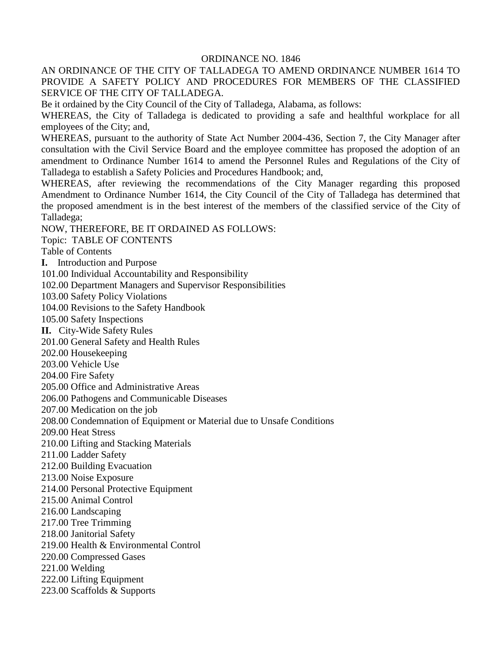#### ORDINANCE NO. 1846

AN ORDINANCE OF THE CITY OF TALLADEGA TO AMEND ORDINANCE NUMBER 1614 TO PROVIDE A SAFETY POLICY AND PROCEDURES FOR MEMBERS OF THE CLASSIFIED SERVICE OF THE CITY OF TALLADEGA.

Be it ordained by the City Council of the City of Talladega, Alabama, as follows:

WHEREAS, the City of Talladega is dedicated to providing a safe and healthful workplace for all employees of the City; and,

WHEREAS, pursuant to the authority of State Act Number 2004-436, Section 7, the City Manager after consultation with the Civil Service Board and the employee committee has proposed the adoption of an amendment to Ordinance Number 1614 to amend the Personnel Rules and Regulations of the City of Talladega to establish a Safety Policies and Procedures Handbook; and,

WHEREAS, after reviewing the recommendations of the City Manager regarding this proposed Amendment to Ordinance Number 1614, the City Council of the City of Talladega has determined that the proposed amendment is in the best interest of the members of the classified service of the City of Talladega;

NOW, THEREFORE, BE IT ORDAINED AS FOLLOWS:

Topic: TABLE OF CONTENTS

Table of Contents

**I.** Introduction and Purpose

101.00 Individual Accountability and Responsibility

102.00 Department Managers and Supervisor Responsibilities

103.00 Safety Policy Violations

104.00 Revisions to the Safety Handbook

105.00 Safety Inspections

**II.** City-Wide Safety Rules

201.00 General Safety and Health Rules

202.00 Housekeeping

203.00 Vehicle Use

204.00 Fire Safety

205.00 Office and Administrative Areas

206.00 Pathogens and Communicable Diseases

207.00 Medication on the job

208.00 Condemnation of Equipment or Material due to Unsafe Conditions

209.00 Heat Stress

210.00 Lifting and Stacking Materials

211.00 Ladder Safety

212.00 Building Evacuation

213.00 Noise Exposure

214.00 Personal Protective Equipment

215.00 Animal Control

216.00 Landscaping

217.00 Tree Trimming

218.00 Janitorial Safety

219.00 Health & Environmental Control

220.00 Compressed Gases

221.00 Welding

222.00 Lifting Equipment

223.00 Scaffolds & Supports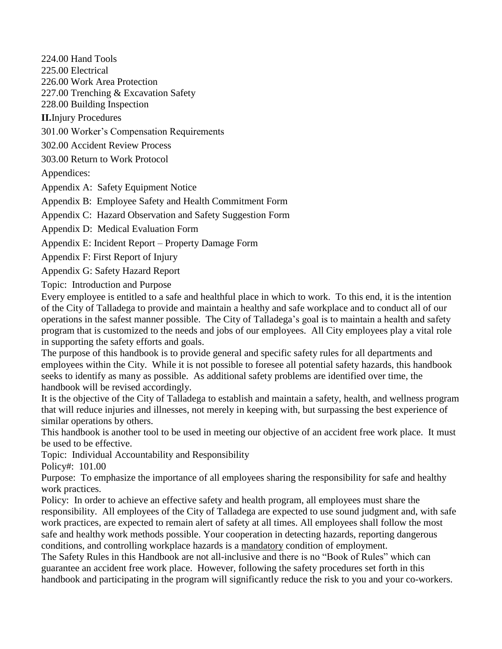224.00 Hand Tools

225.00 Electrical

226.00 Work Area Protection

227.00 Trenching & Excavation Safety

228.00 Building Inspection

**II.**Injury Procedures

301.00 Worker's Compensation Requirements

302.00 Accident Review Process

303.00 Return to Work Protocol

Appendices:

Appendix A: Safety Equipment Notice

Appendix B: Employee Safety and Health Commitment Form

Appendix C: Hazard Observation and Safety Suggestion Form

Appendix D: Medical Evaluation Form

Appendix E: Incident Report – Property Damage Form

Appendix F: First Report of Injury

Appendix G: Safety Hazard Report

Topic: Introduction and Purpose

Every employee is entitled to a safe and healthful place in which to work. To this end, it is the intention of the City of Talladega to provide and maintain a healthy and safe workplace and to conduct all of our operations in the safest manner possible. The City of Talladega's goal is to maintain a health and safety program that is customized to the needs and jobs of our employees. All City employees play a vital role in supporting the safety efforts and goals.

The purpose of this handbook is to provide general and specific safety rules for all departments and employees within the City. While it is not possible to foresee all potential safety hazards, this handbook seeks to identify as many as possible. As additional safety problems are identified over time, the handbook will be revised accordingly.

It is the objective of the City of Talladega to establish and maintain a safety, health, and wellness program that will reduce injuries and illnesses, not merely in keeping with, but surpassing the best experience of similar operations by others.

This handbook is another tool to be used in meeting our objective of an accident free work place. It must be used to be effective.

Topic: Individual Accountability and Responsibility

Policy#: 101.00

Purpose:To emphasize the importance of all employees sharing the responsibility for safe and healthy work practices.

Policy:In order to achieve an effective safety and health program, all employees must share the responsibility. All employees of the City of Talladega are expected to use sound judgment and, with safe work practices, are expected to remain alert of safety at all times. All employees shall follow the most safe and healthy work methods possible. Your cooperation in detecting hazards, reporting dangerous conditions, and controlling workplace hazards is a mandatory condition of employment.

The Safety Rules in this Handbook are not all-inclusive and there is no "Book of Rules" which can guarantee an accident free work place. However, following the safety procedures set forth in this handbook and participating in the program will significantly reduce the risk to you and your co-workers.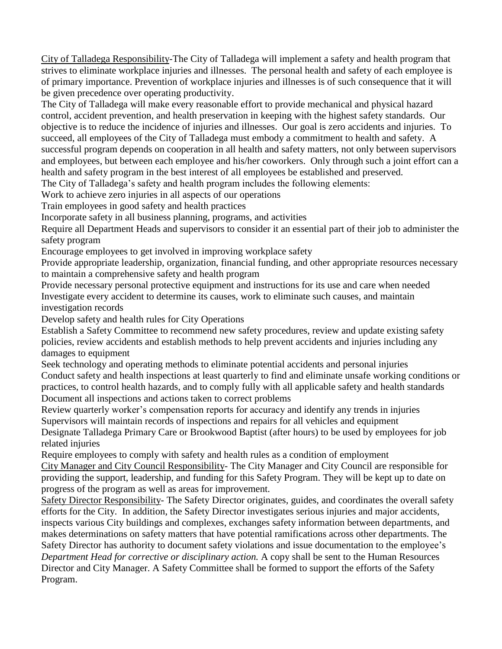City of Talladega Responsibility-The City of Talladega will implement a safety and health program that strives to eliminate workplace injuries and illnesses. The personal health and safety of each employee is of primary importance. Prevention of workplace injuries and illnesses is of such consequence that it will be given precedence over operating productivity.

The City of Talladega will make every reasonable effort to provide mechanical and physical hazard control, accident prevention, and health preservation in keeping with the highest safety standards. Our objective is to reduce the incidence of injuries and illnesses. Our goal is zero accidents and injuries. To succeed, all employees of the City of Talladega must embody a commitment to health and safety. A successful program depends on cooperation in all health and safety matters, not only between supervisors and employees, but between each employee and his/her coworkers. Only through such a joint effort can a health and safety program in the best interest of all employees be established and preserved.

The City of Talladega's safety and health program includes the following elements:

Work to achieve zero injuries in all aspects of our operations

Train employees in good safety and health practices

Incorporate safety in all business planning, programs, and activities

Require all Department Heads and supervisors to consider it an essential part of their job to administer the safety program

Encourage employees to get involved in improving workplace safety

Provide appropriate leadership, organization, financial funding, and other appropriate resources necessary to maintain a comprehensive safety and health program

Provide necessary personal protective equipment and instructions for its use and care when needed Investigate every accident to determine its causes, work to eliminate such causes, and maintain investigation records

Develop safety and health rules for City Operations

Establish a Safety Committee to recommend new safety procedures, review and update existing safety policies, review accidents and establish methods to help prevent accidents and injuries including any damages to equipment

Seek technology and operating methods to eliminate potential accidents and personal injuries Conduct safety and health inspections at least quarterly to find and eliminate unsafe working conditions or practices, to control health hazards, and to comply fully with all applicable safety and health standards Document all inspections and actions taken to correct problems

Review quarterly worker's compensation reports for accuracy and identify any trends in injuries Supervisors will maintain records of inspections and repairs for all vehicles and equipment Designate Talladega Primary Care or Brookwood Baptist (after hours) to be used by employees for job related injuries

Require employees to comply with safety and health rules as a condition of employment City Manager and City Council Responsibility- The City Manager and City Council are responsible for providing the support, leadership, and funding for this Safety Program. They will be kept up to date on progress of the program as well as areas for improvement.

Safety Director Responsibility- The Safety Director originates, guides, and coordinates the overall safety efforts for the City. In addition, the Safety Director investigates serious injuries and major accidents, inspects various City buildings and complexes, exchanges safety information between departments, and makes determinations on safety matters that have potential ramifications across other departments. The Safety Director has authority to document safety violations and issue documentation to the employee's *Department Head for corrective or disciplinary action.* A copy shall be sent to the Human Resources Director and City Manager. A Safety Committee shall be formed to support the efforts of the Safety Program.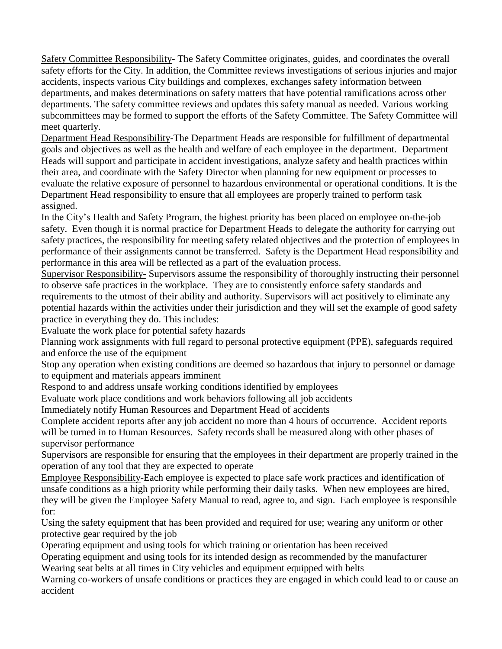Safety Committee Responsibility- The Safety Committee originates, guides, and coordinates the overall safety efforts for the City. In addition, the Committee reviews investigations of serious injuries and major accidents, inspects various City buildings and complexes, exchanges safety information between departments, and makes determinations on safety matters that have potential ramifications across other departments. The safety committee reviews and updates this safety manual as needed. Various working subcommittees may be formed to support the efforts of the Safety Committee. The Safety Committee will meet quarterly.

Department Head Responsibility-The Department Heads are responsible for fulfillment of departmental goals and objectives as well as the health and welfare of each employee in the department. Department Heads will support and participate in accident investigations, analyze safety and health practices within their area, and coordinate with the Safety Director when planning for new equipment or processes to evaluate the relative exposure of personnel to hazardous environmental or operational conditions. It is the Department Head responsibility to ensure that all employees are properly trained to perform task assigned.

In the City's Health and Safety Program, the highest priority has been placed on employee on-the-job safety. Even though it is normal practice for Department Heads to delegate the authority for carrying out safety practices, the responsibility for meeting safety related objectives and the protection of employees in performance of their assignments cannot be transferred. Safety is the Department Head responsibility and performance in this area will be reflected as a part of the evaluation process.

Supervisor Responsibility- Supervisors assume the responsibility of thoroughly instructing their personnel to observe safe practices in the workplace. They are to consistently enforce safety standards and requirements to the utmost of their ability and authority. Supervisors will act positively to eliminate any potential hazards within the activities under their jurisdiction and they will set the example of good safety practice in everything they do. This includes:

Evaluate the work place for potential safety hazards

Planning work assignments with full regard to personal protective equipment (PPE), safeguards required and enforce the use of the equipment

Stop any operation when existing conditions are deemed so hazardous that injury to personnel or damage to equipment and materials appears imminent

Respond to and address unsafe working conditions identified by employees

Evaluate work place conditions and work behaviors following all job accidents

Immediately notify Human Resources and Department Head of accidents

Complete accident reports after any job accident no more than 4 hours of occurrence. Accident reports will be turned in to Human Resources. Safety records shall be measured along with other phases of supervisor performance

Supervisors are responsible for ensuring that the employees in their department are properly trained in the operation of any tool that they are expected to operate

Employee Responsibility-Each employee is expected to place safe work practices and identification of unsafe conditions as a high priority while performing their daily tasks. When new employees are hired, they will be given the Employee Safety Manual to read, agree to, and sign. Each employee is responsible for:

Using the safety equipment that has been provided and required for use; wearing any uniform or other protective gear required by the job

Operating equipment and using tools for which training or orientation has been received

Operating equipment and using tools for its intended design as recommended by the manufacturer Wearing seat belts at all times in City vehicles and equipment equipped with belts

Warning co-workers of unsafe conditions or practices they are engaged in which could lead to or cause an accident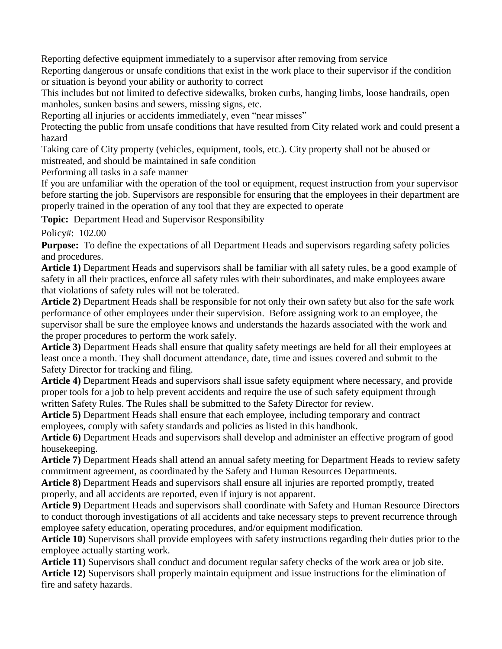Reporting defective equipment immediately to a supervisor after removing from service

Reporting dangerous or unsafe conditions that exist in the work place to their supervisor if the condition or situation is beyond your ability or authority to correct

This includes but not limited to defective sidewalks, broken curbs, hanging limbs, loose handrails, open manholes, sunken basins and sewers, missing signs, etc.

Reporting all injuries or accidents immediately, even "near misses"

Protecting the public from unsafe conditions that have resulted from City related work and could present a hazard

Taking care of City property (vehicles, equipment, tools, etc.). City property shall not be abused or mistreated, and should be maintained in safe condition

Performing all tasks in a safe manner

If you are unfamiliar with the operation of the tool or equipment, request instruction from your supervisor before starting the job. Supervisors are responsible for ensuring that the employees in their department are properly trained in the operation of any tool that they are expected to operate

**Topic:** Department Head and Supervisor Responsibility

Policy#: 102.00

**Purpose:** To define the expectations of all Department Heads and supervisors regarding safety policies and procedures.

**Article 1)** Department Heads and supervisors shall be familiar with all safety rules, be a good example of safety in all their practices, enforce all safety rules with their subordinates, and make employees aware that violations of safety rules will not be tolerated.

**Article 2)** Department Heads shall be responsible for not only their own safety but also for the safe work performance of other employees under their supervision. Before assigning work to an employee, the supervisor shall be sure the employee knows and understands the hazards associated with the work and the proper procedures to perform the work safely.

**Article 3)** Department Heads shall ensure that quality safety meetings are held for all their employees at least once a month. They shall document attendance, date, time and issues covered and submit to the Safety Director for tracking and filing.

**Article 4)** Department Heads and supervisors shall issue safety equipment where necessary, and provide proper tools for a job to help prevent accidents and require the use of such safety equipment through written Safety Rules. The Rules shall be submitted to the Safety Director for review.

**Article 5)** Department Heads shall ensure that each employee, including temporary and contract employees, comply with safety standards and policies as listed in this handbook.

**Article 6)** Department Heads and supervisors shall develop and administer an effective program of good housekeeping.

**Article 7)** Department Heads shall attend an annual safety meeting for Department Heads to review safety commitment agreement, as coordinated by the Safety and Human Resources Departments.

**Article 8)** Department Heads and supervisors shall ensure all injuries are reported promptly, treated properly, and all accidents are reported, even if injury is not apparent.

**Article 9)** Department Heads and supervisors shall coordinate with Safety and Human Resource Directors to conduct thorough investigations of all accidents and take necessary steps to prevent recurrence through employee safety education, operating procedures, and/or equipment modification.

**Article 10)** Supervisors shall provide employees with safety instructions regarding their duties prior to the employee actually starting work.

**Article 11)** Supervisors shall conduct and document regular safety checks of the work area or job site. **Article 12)** Supervisors shall properly maintain equipment and issue instructions for the elimination of fire and safety hazards.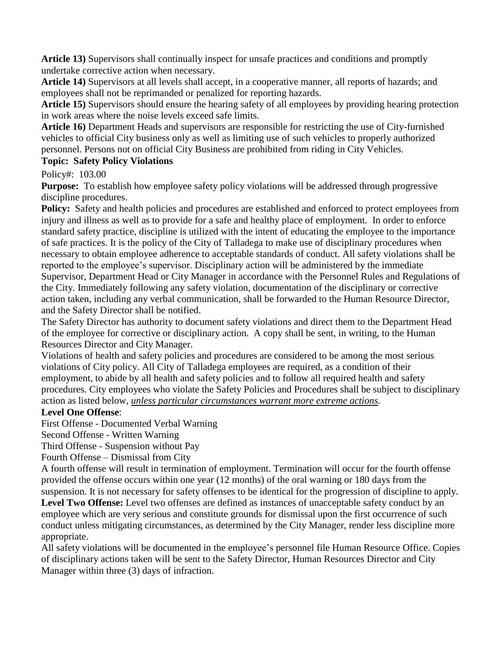**Article 13)** Supervisors shall continually inspect for unsafe practices and conditions and promptly undertake corrective action when necessary.

**Article 14)** Supervisors at all levels shall accept, in a cooperative manner, all reports of hazards; and employees shall not be reprimanded or penalized for reporting hazards.

**Article 15)** Supervisors should ensure the hearing safety of all employees by providing hearing protection in work areas where the noise levels exceed safe limits.

**Article 16)** Department Heads and supervisors are responsible for restricting the use of City-furnished vehicles to official City business only as well as limiting use of such vehicles to properly authorized personnel. Persons not on official City Business are prohibited from riding in City Vehicles.

## **Topic: Safety Policy Violations**

Policy#: 103.00

**Purpose:** To establish how employee safety policy violations will be addressed through progressive discipline procedures.

**Policy:** Safety and health policies and procedures are established and enforced to protect employees from injury and illness as well as to provide for a safe and healthy place of employment. In order to enforce standard safety practice, discipline is utilized with the intent of educating the employee to the importance of safe practices. It is the policy of the City of Talladega to make use of disciplinary procedures when necessary to obtain employee adherence to acceptable standards of conduct. All safety violations shall be reported to the employee's supervisor. Disciplinary action will be administered by the immediate Supervisor, Department Head or City Manager in accordance with the Personnel Rules and Regulations of the City. Immediately following any safety violation, documentation of the disciplinary or corrective action taken, including any verbal communication, shall be forwarded to the Human Resource Director, and the Safety Director shall be notified.

The Safety Director has authority to document safety violations and direct them to the Department Head of the employee for corrective or disciplinary action. A copy shall be sent, in writing, to the Human Resources Director and City Manager.

Violations of health and safety policies and procedures are considered to be among the most serious violations of City policy. All City of Talladega employees are required, as a condition of their employment, to abide by all health and safety policies and to follow all required health and safety procedures. City employees who violate the Safety Policies and Procedures shall be subject to disciplinary action as listed below, *unless particular circumstances warrant more extreme actions.*

## **Level One Offense**:

First Offense - Documented Verbal Warning

Second Offense - Written Warning

Third Offense - Suspension without Pay

Fourth Offense – Dismissal from City

A fourth offense will result in termination of employment. Termination will occur for the fourth offense provided the offense occurs within one year (12 months) of the oral warning or 180 days from the suspension. It is not necessary for safety offenses to be identical for the progression of discipline to apply.

**Level Two Offense:** Level two offenses are defined as instances of unacceptable safety conduct by an employee which are very serious and constitute grounds for dismissal upon the first occurrence of such conduct unless mitigating circumstances, as determined by the City Manager, render less discipline more appropriate.

All safety violations will be documented in the employee's personnel file Human Resource Office. Copies of disciplinary actions taken will be sent to the Safety Director, Human Resources Director and City Manager within three (3) days of infraction.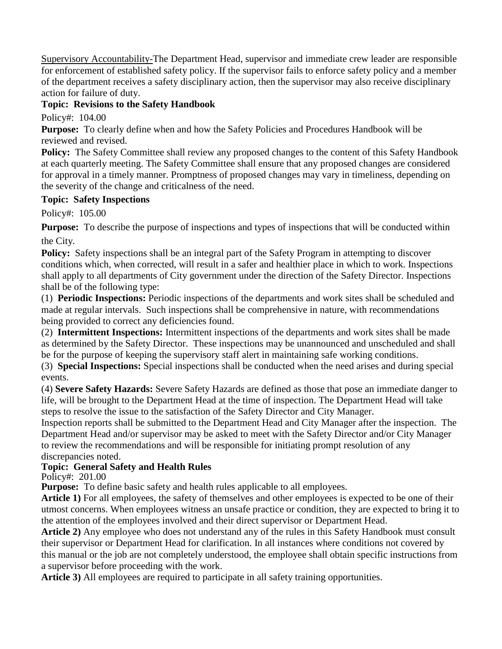Supervisory Accountability-The Department Head, supervisor and immediate crew leader are responsible for enforcement of established safety policy. If the supervisor fails to enforce safety policy and a member of the department receives a safety disciplinary action, then the supervisor may also receive disciplinary action for failure of duty.

## **Topic: Revisions to the Safety Handbook**

Policy#: 104.00

**Purpose:** To clearly define when and how the Safety Policies and Procedures Handbook will be reviewed and revised.

**Policy:** The Safety Committee shall review any proposed changes to the content of this Safety Handbook at each quarterly meeting. The Safety Committee shall ensure that any proposed changes are considered for approval in a timely manner. Promptness of proposed changes may vary in timeliness, depending on the severity of the change and criticalness of the need.

#### **Topic: Safety Inspections**

Policy#: 105.00

**Purpose:** To describe the purpose of inspections and types of inspections that will be conducted within the City.

**Policy:** Safety inspections shall be an integral part of the Safety Program in attempting to discover conditions which, when corrected, will result in a safer and healthier place in which to work. Inspections shall apply to all departments of City government under the direction of the Safety Director. Inspections shall be of the following type:

(1) **Periodic Inspections:** Periodic inspections of the departments and work sites shall be scheduled and made at regular intervals. Such inspections shall be comprehensive in nature, with recommendations being provided to correct any deficiencies found.

(2) **Intermittent Inspections:** Intermittent inspections of the departments and work sites shall be made as determined by the Safety Director. These inspections may be unannounced and unscheduled and shall be for the purpose of keeping the supervisory staff alert in maintaining safe working conditions.

(3) **Special Inspections:** Special inspections shall be conducted when the need arises and during special events.

(4) **Severe Safety Hazards:** Severe Safety Hazards are defined as those that pose an immediate danger to life, will be brought to the Department Head at the time of inspection. The Department Head will take steps to resolve the issue to the satisfaction of the Safety Director and City Manager.

Inspection reports shall be submitted to the Department Head and City Manager after the inspection. The Department Head and/or supervisor may be asked to meet with the Safety Director and/or City Manager to review the recommendations and will be responsible for initiating prompt resolution of any discrepancies noted.

## **Topic: General Safety and Health Rules**

Policy#: 201.00

**Purpose:** To define basic safety and health rules applicable to all employees.

**Article 1)** For all employees, the safety of themselves and other employees is expected to be one of their utmost concerns. When employees witness an unsafe practice or condition, they are expected to bring it to the attention of the employees involved and their direct supervisor or Department Head.

**Article 2)** Any employee who does not understand any of the rules in this Safety Handbook must consult their supervisor or Department Head for clarification. In all instances where conditions not covered by this manual or the job are not completely understood, the employee shall obtain specific instructions from a supervisor before proceeding with the work.

**Article 3)** All employees are required to participate in all safety training opportunities.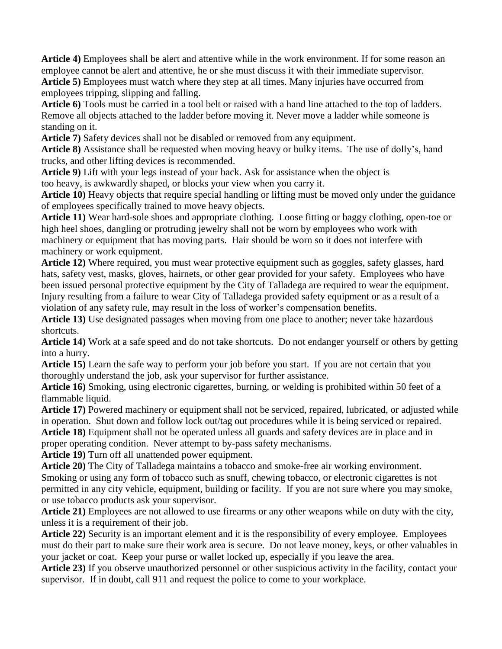**Article 4)** Employees shall be alert and attentive while in the work environment. If for some reason an employee cannot be alert and attentive, he or she must discuss it with their immediate supervisor. **Article 5)** Employees must watch where they step at all times. Many injuries have occurred from employees tripping, slipping and falling.

**Article 6)** Tools must be carried in a tool belt or raised with a hand line attached to the top of ladders. Remove all objects attached to the ladder before moving it. Never move a ladder while someone is standing on it.

**Article 7)** Safety devices shall not be disabled or removed from any equipment.

**Article 8)** Assistance shall be requested when moving heavy or bulky items. The use of dolly's, hand trucks, and other lifting devices is recommended.

**Article 9)** Lift with your legs instead of your back. Ask for assistance when the object is too heavy, is awkwardly shaped, or blocks your view when you carry it.

**Article 10)** Heavy objects that require special handling or lifting must be moved only under the guidance of employees specifically trained to move heavy objects.

**Article 11)** Wear hard-sole shoes and appropriate clothing. Loose fitting or baggy clothing, open-toe or high heel shoes, dangling or protruding jewelry shall not be worn by employees who work with machinery or equipment that has moving parts. Hair should be worn so it does not interfere with machinery or work equipment.

**Article 12)** Where required, you must wear protective equipment such as goggles, safety glasses, hard hats, safety vest, masks, gloves, hairnets, or other gear provided for your safety. Employees who have been issued personal protective equipment by the City of Talladega are required to wear the equipment. Injury resulting from a failure to wear City of Talladega provided safety equipment or as a result of a violation of any safety rule, may result in the loss of worker's compensation benefits.

**Article 13)** Use designated passages when moving from one place to another; never take hazardous shortcuts.

**Article 14)** Work at a safe speed and do not take shortcuts. Do not endanger yourself or others by getting into a hurry.

**Article 15)** Learn the safe way to perform your job before you start. If you are not certain that you thoroughly understand the job, ask your supervisor for further assistance.

**Article 16)** Smoking, using electronic cigarettes, burning, or welding is prohibited within 50 feet of a flammable liquid.

**Article 17)** Powered machinery or equipment shall not be serviced, repaired, lubricated, or adjusted while in operation. Shut down and follow lock out/tag out procedures while it is being serviced or repaired. **Article 18)** Equipment shall not be operated unless all guards and safety devices are in place and in proper operating condition. Never attempt to by-pass safety mechanisms.

**Article 19)** Turn off all unattended power equipment.

**Article 20)** The City of Talladega maintains a tobacco and smoke-free air working environment. Smoking or using any form of tobacco such as snuff, chewing tobacco, or electronic cigarettes is not permitted in any city vehicle, equipment, building or facility. If you are not sure where you may smoke, or use tobacco products ask your supervisor.

**Article 21)** Employees are not allowed to use firearms or any other weapons while on duty with the city, unless it is a requirement of their job.

**Article 22)** Security is an important element and it is the responsibility of every employee. Employees must do their part to make sure their work area is secure. Do not leave money, keys, or other valuables in your jacket or coat. Keep your purse or wallet locked up, especially if you leave the area.

**Article 23)** If you observe unauthorized personnel or other suspicious activity in the facility, contact your supervisor. If in doubt, call 911 and request the police to come to your workplace.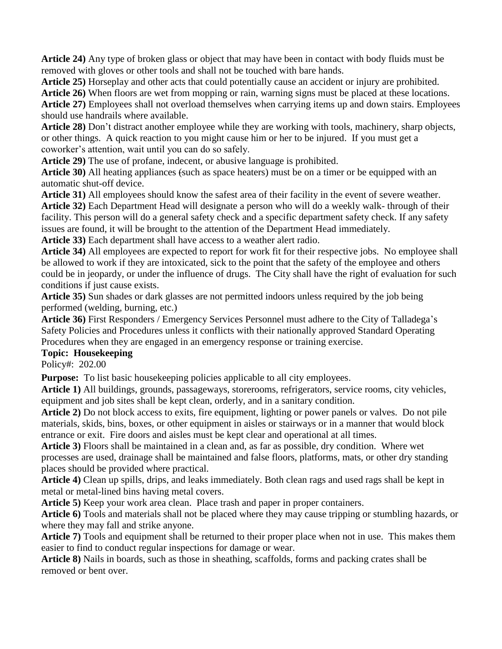**Article 24)** Any type of broken glass or object that may have been in contact with body fluids must be removed with gloves or other tools and shall not be touched with bare hands.

**Article 25)** Horseplay and other acts that could potentially cause an accident or injury are prohibited.

**Article 26)** When floors are wet from mopping or rain, warning signs must be placed at these locations. **Article 27)** Employees shall not overload themselves when carrying items up and down stairs. Employees should use handrails where available.

**Article 28)** Don't distract another employee while they are working with tools, machinery, sharp objects, or other things. A quick reaction to you might cause him or her to be injured. If you must get a coworker's attention, wait until you can do so safely.

**Article 29)** The use of profane, indecent, or abusive language is prohibited.

**Article 30)** All heating appliances (such as space heaters) must be on a timer or be equipped with an automatic shut-off device.

**Article 31)** All employees should know the safest area of their facility in the event of severe weather. **Article 32)** Each Department Head will designate a person who will do a weekly walk- through of their facility. This person will do a general safety check and a specific department safety check. If any safety issues are found, it will be brought to the attention of the Department Head immediately.

**Article 33)** Each department shall have access to a weather alert radio.

**Article 34)** All employees are expected to report for work fit for their respective jobs. No employee shall be allowed to work if they are intoxicated, sick to the point that the safety of the employee and others could be in jeopardy, or under the influence of drugs. The City shall have the right of evaluation for such conditions if just cause exists.

**Article 35)** Sun shades or dark glasses are not permitted indoors unless required by the job being performed (welding, burning, etc.)

**Article 36)** First Responders / Emergency Services Personnel must adhere to the City of Talladega's Safety Policies and Procedures unless it conflicts with their nationally approved Standard Operating Procedures when they are engaged in an emergency response or training exercise.

# **Topic: Housekeeping**

Policy#: 202.00

**Purpose:** To list basic housekeeping policies applicable to all city employees.

**Article 1)** All buildings, grounds, passageways, storerooms, refrigerators, service rooms, city vehicles, equipment and job sites shall be kept clean, orderly, and in a sanitary condition.

**Article 2)** Do not block access to exits, fire equipment, lighting or power panels or valves. Do not pile materials, skids, bins, boxes, or other equipment in aisles or stairways or in a manner that would block entrance or exit. Fire doors and aisles must be kept clear and operational at all times.

**Article 3)** Floors shall be maintained in a clean and, as far as possible, dry condition. Where wet processes are used, drainage shall be maintained and false floors, platforms, mats, or other dry standing places should be provided where practical.

**Article 4)** Clean up spills, drips, and leaks immediately. Both clean rags and used rags shall be kept in metal or metal-lined bins having metal covers.

**Article 5)** Keep your work area clean. Place trash and paper in proper containers.

**Article 6)** Tools and materials shall not be placed where they may cause tripping or stumbling hazards, or where they may fall and strike anyone.

**Article 7)** Tools and equipment shall be returned to their proper place when not in use. This makes them easier to find to conduct regular inspections for damage or wear.

**Article 8)** Nails in boards, such as those in sheathing, scaffolds, forms and packing crates shall be removed or bent over.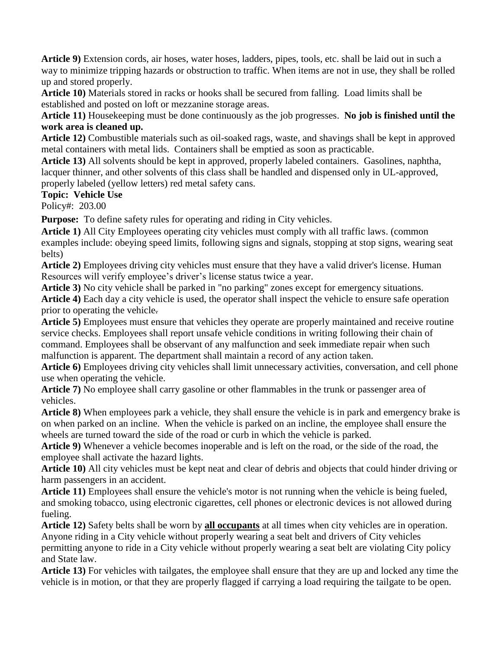**Article 9)** Extension cords, air hoses, water hoses, ladders, pipes, tools, etc. shall be laid out in such a way to minimize tripping hazards or obstruction to traffic. When items are not in use, they shall be rolled up and stored properly.

**Article 10)** Materials stored in racks or hooks shall be secured from falling. Load limits shall be established and posted on loft or mezzanine storage areas.

**Article 11)** Housekeeping must be done continuously as the job progresses. **No job is finished until the work area is cleaned up.**

**Article 12)** Combustible materials such as oil-soaked rags, waste, and shavings shall be kept in approved metal containers with metal lids. Containers shall be emptied as soon as practicable.

**Article 13)** All solvents should be kept in approved, properly labeled containers. Gasolines, naphtha, lacquer thinner, and other solvents of this class shall be handled and dispensed only in UL-approved, properly labeled (yellow letters) red metal safety cans.

#### **Topic: Vehicle Use**

Policy#: 203.00

**Purpose:** To define safety rules for operating and riding in City vehicles.

**Article 1)** All City Employees operating city vehicles must comply with all traffic laws. (common examples include: obeying speed limits, following signs and signals, stopping at stop signs, wearing seat belts)

**Article 2)** Employees driving city vehicles must ensure that they have a valid driver's license. Human Resources will verify employee's driver's license status twice a year.

**Article 3)** No city vehicle shall be parked in "no parking" zones except for emergency situations. **Article 4)** Each day a city vehicle is used, the operator shall inspect the vehicle to ensure safe operation prior to operating the vehicle.

**Article 5)** Employees must ensure that vehicles they operate are properly maintained and receive routine service checks. Employees shall report unsafe vehicle conditions in writing following their chain of command. Employees shall be observant of any malfunction and seek immediate repair when such malfunction is apparent. The department shall maintain a record of any action taken.

**Article 6)** Employees driving city vehicles shall limit unnecessary activities, conversation, and cell phone use when operating the vehicle.

**Article 7)** No employee shall carry gasoline or other flammables in the trunk or passenger area of vehicles.

**Article 8)** When employees park a vehicle, they shall ensure the vehicle is in park and emergency brake is on when parked on an incline. When the vehicle is parked on an incline, the employee shall ensure the wheels are turned toward the side of the road or curb in which the vehicle is parked.

**Article 9)** Whenever a vehicle becomes inoperable and is left on the road, or the side of the road, the employee shall activate the hazard lights.

**Article 10)** All city vehicles must be kept neat and clear of debris and objects that could hinder driving or harm passengers in an accident.

**Article 11)** Employees shall ensure the vehicle's motor is not running when the vehicle is being fueled, and smoking tobacco, using electronic cigarettes, cell phones or electronic devices is not allowed during fueling.

**Article 12)** Safety belts shall be worn by **all occupants** at all times when city vehicles are in operation. Anyone riding in a City vehicle without properly wearing a seat belt and drivers of City vehicles permitting anyone to ride in a City vehicle without properly wearing a seat belt are violating City policy and State law.

**Article 13)** For vehicles with tailgates, the employee shall ensure that they are up and locked any time the vehicle is in motion, or that they are properly flagged if carrying a load requiring the tailgate to be open.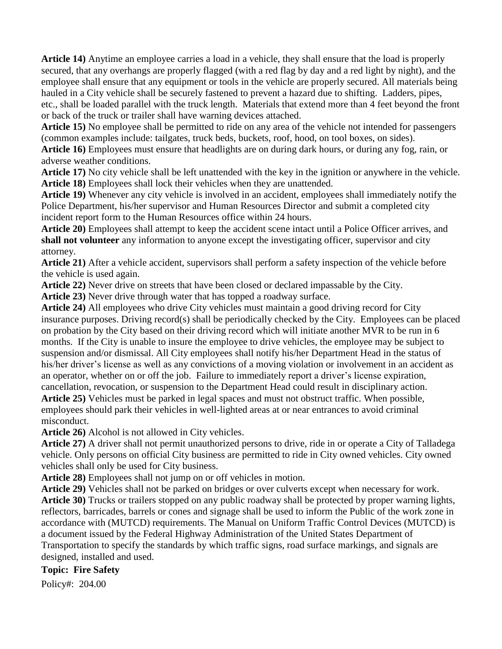**Article 14)** Anytime an employee carries a load in a vehicle, they shall ensure that the load is properly secured, that any overhangs are properly flagged (with a red flag by day and a red light by night), and the employee shall ensure that any equipment or tools in the vehicle are properly secured. All materials being hauled in a City vehicle shall be securely fastened to prevent a hazard due to shifting. Ladders, pipes, etc., shall be loaded parallel with the truck length. Materials that extend more than 4 feet beyond the front or back of the truck or trailer shall have warning devices attached.

**Article 15)** No employee shall be permitted to ride on any area of the vehicle not intended for passengers (common examples include: tailgates, truck beds, buckets, roof, hood, on tool boxes, on sides).

**Article 16)** Employees must ensure that headlights are on during dark hours, or during any fog, rain, or adverse weather conditions.

**Article 17)** No city vehicle shall be left unattended with the key in the ignition or anywhere in the vehicle. **Article 18)** Employees shall lock their vehicles when they are unattended.

**Article 19)** Whenever any city vehicle is involved in an accident, employees shall immediately notify the Police Department, his/her supervisor and Human Resources Director and submit a completed city incident report form to the Human Resources office within 24 hours.

**Article 20)** Employees shall attempt to keep the accident scene intact until a Police Officer arrives, and **shall not volunteer** any information to anyone except the investigating officer, supervisor and city attorney.

**Article 21)** After a vehicle accident, supervisors shall perform a safety inspection of the vehicle before the vehicle is used again.

**Article 22)** Never drive on streets that have been closed or declared impassable by the City.

**Article 23)** Never drive through water that has topped a roadway surface.

**Article 24)** All employees who drive City vehicles must maintain a good driving record for City insurance purposes. Driving record(s) shall be periodically checked by the City. Employees can be placed on probation by the City based on their driving record which will initiate another MVR to be run in 6 months. If the City is unable to insure the employee to drive vehicles, the employee may be subject to suspension and/or dismissal. All City employees shall notify his/her Department Head in the status of his/her driver's license as well as any convictions of a moving violation or involvement in an accident as an operator, whether on or off the job. Failure to immediately report a driver's license expiration, cancellation, revocation, or suspension to the Department Head could result in disciplinary action.

**Article 25)** Vehicles must be parked in legal spaces and must not obstruct traffic. When possible, employees should park their vehicles in well-lighted areas at or near entrances to avoid criminal misconduct.

**Article 26)** Alcohol is not allowed in City vehicles.

**Article 27)** A driver shall not permit unauthorized persons to drive, ride in or operate a City of Talladega vehicle. Only persons on official City business are permitted to ride in City owned vehicles. City owned vehicles shall only be used for City business.

**Article 28)** Employees shall not jump on or off vehicles in motion.

**Article 29)** Vehicles shall not be parked on bridges or over culverts except when necessary for work. **Article 30)** Trucks or trailers stopped on any public roadway shall be protected by proper warning lights, reflectors, barricades, barrels or cones and signage shall be used to inform the Public of the work zone in accordance with (MUTCD) requirements. The Manual on Uniform Traffic Control Devices (MUTCD) is a document issued by the Federal Highway Administration of the United States Department of Transportation to specify the standards by which traffic signs, road surface markings, and signals are designed, installed and used.

## **Topic: Fire Safety**

Policy#: 204.00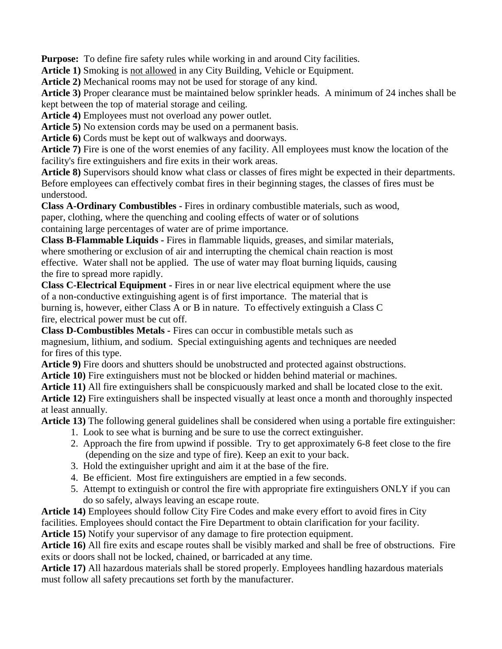**Purpose:** To define fire safety rules while working in and around City facilities.

**Article 1)** Smoking is not allowed in any City Building, Vehicle or Equipment.

**Article 2)** Mechanical rooms may not be used for storage of any kind.

**Article 3)** Proper clearance must be maintained below sprinkler heads. A minimum of 24 inches shall be kept between the top of material storage and ceiling.

**Article 4)** Employees must not overload any power outlet.

**Article 5)** No extension cords may be used on a permanent basis.

**Article 6)** Cords must be kept out of walkways and doorways.

**Article 7)** Fire is one of the worst enemies of any facility. All employees must know the location of the facility's fire extinguishers and fire exits in their work areas.

**Article 8)** Supervisors should know what class or classes of fires might be expected in their departments. Before employees can effectively combat fires in their beginning stages, the classes of fires must be understood.

**Class A-Ordinary Combustibles -** Fires in ordinary combustible materials, such as wood, paper, clothing, where the quenching and cooling effects of water or of solutions containing large percentages of water are of prime importance.

**Class B-Flammable Liquids -** Fires in flammable liquids, greases, and similar materials, where smothering or exclusion of air and interrupting the chemical chain reaction is most effective. Water shall not be applied. The use of water may float burning liquids, causing the fire to spread more rapidly.

**Class C-Electrical Equipment -** Fires in or near live electrical equipment where the use of a non-conductive extinguishing agent is of first importance. The material that is burning is, however, either Class A or B in nature. To effectively extinguish a Class C fire, electrical power must be cut off.

**Class D-Combustibles Metals -** Fires can occur in combustible metals such as magnesium, lithium, and sodium. Special extinguishing agents and techniques are needed for fires of this type.

**Article 9)** Fire doors and shutters should be unobstructed and protected against obstructions.

**Article 10)** Fire extinguishers must not be blocked or hidden behind material or machines.

**Article 11)** All fire extinguishers shall be conspicuously marked and shall be located close to the exit.

**Article 12)** Fire extinguishers shall be inspected visually at least once a month and thoroughly inspected at least annually.

**Article 13)** The following general guidelines shall be considered when using a portable fire extinguisher:

- 1. Look to see what is burning and be sure to use the correct extinguisher.
- 2. Approach the fire from upwind if possible. Try to get approximately 6-8 feet close to the fire (depending on the size and type of fire). Keep an exit to your back.
- 3. Hold the extinguisher upright and aim it at the base of the fire.
- 4. Be efficient. Most fire extinguishers are emptied in a few seconds.
- 5. Attempt to extinguish or control the fire with appropriate fire extinguishers ONLY if you can do so safely, always leaving an escape route.

**Article 14)** Employees should follow City Fire Codes and make every effort to avoid fires in City facilities. Employees should contact the Fire Department to obtain clarification for your facility.

**Article 15)** Notify your supervisor of any damage to fire protection equipment.

**Article 16)** All fire exits and escape routes shall be visibly marked and shall be free of obstructions. Fire exits or doors shall not be locked, chained, or barricaded at any time.

**Article 17)** All hazardous materials shall be stored properly. Employees handling hazardous materials must follow all safety precautions set forth by the manufacturer.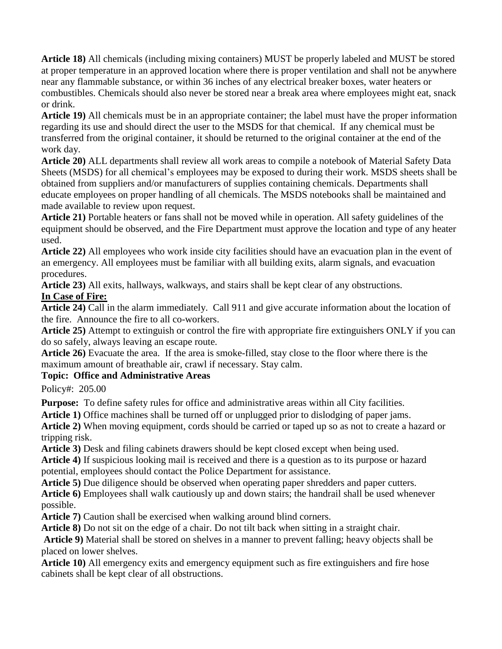**Article 18)** All chemicals (including mixing containers) MUST be properly labeled and MUST be stored at proper temperature in an approved location where there is proper ventilation and shall not be anywhere near any flammable substance, or within 36 inches of any electrical breaker boxes, water heaters or combustibles. Chemicals should also never be stored near a break area where employees might eat, snack or drink.

**Article 19)** All chemicals must be in an appropriate container; the label must have the proper information regarding its use and should direct the user to the MSDS for that chemical. If any chemical must be transferred from the original container, it should be returned to the original container at the end of the work day.

**Article 20)** ALL departments shall review all work areas to compile a notebook of Material Safety Data Sheets (MSDS) for all chemical's employees may be exposed to during their work. MSDS sheets shall be obtained from suppliers and/or manufacturers of supplies containing chemicals. Departments shall educate employees on proper handling of all chemicals. The MSDS notebooks shall be maintained and made available to review upon request.

**Article 21)** Portable heaters or fans shall not be moved while in operation. All safety guidelines of the equipment should be observed, and the Fire Department must approve the location and type of any heater used.

**Article 22)** All employees who work inside city facilities should have an evacuation plan in the event of an emergency. All employees must be familiar with all building exits, alarm signals, and evacuation procedures.

**Article 23)** All exits, hallways, walkways, and stairs shall be kept clear of any obstructions.

#### **In Case of Fire:**

**Article 24)** Call in the alarm immediately. Call 911 and give accurate information about the location of the fire. Announce the fire to all co-workers.

**Article 25)** Attempt to extinguish or control the fire with appropriate fire extinguishers ONLY if you can do so safely, always leaving an escape route.

**Article 26)** Evacuate the area. If the area is smoke-filled, stay close to the floor where there is the maximum amount of breathable air, crawl if necessary. Stay calm.

## **Topic: Office and Administrative Areas**

Policy#: 205.00

**Purpose:** To define safety rules for office and administrative areas within all City facilities.

**Article 1)** Office machines shall be turned off or unplugged prior to dislodging of paper jams.

**Article 2)** When moving equipment, cords should be carried or taped up so as not to create a hazard or tripping risk.

**Article 3)** Desk and filing cabinets drawers should be kept closed except when being used.

**Article 4)** If suspicious looking mail is received and there is a question as to its purpose or hazard potential, employees should contact the Police Department for assistance.

**Article 5)** Due diligence should be observed when operating paper shredders and paper cutters.

**Article 6)** Employees shall walk cautiously up and down stairs; the handrail shall be used whenever possible.

**Article 7)** Caution shall be exercised when walking around blind corners.

**Article 8)** Do not sit on the edge of a chair. Do not tilt back when sitting in a straight chair.

**Article 9)** Material shall be stored on shelves in a manner to prevent falling; heavy objects shall be placed on lower shelves.

**Article 10)** All emergency exits and emergency equipment such as fire extinguishers and fire hose cabinets shall be kept clear of all obstructions.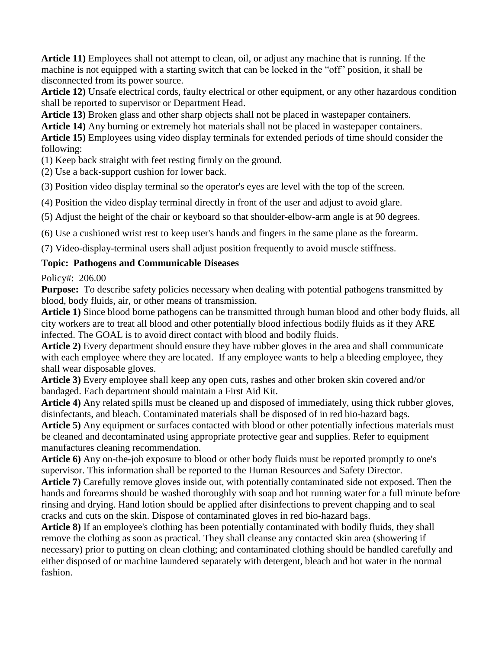**Article 11)** Employees shall not attempt to clean, oil, or adjust any machine that is running. If the machine is not equipped with a starting switch that can be locked in the "off" position, it shall be disconnected from its power source.

**Article 12)** Unsafe electrical cords, faulty electrical or other equipment, or any other hazardous condition shall be reported to supervisor or Department Head.

**Article 13)** Broken glass and other sharp objects shall not be placed in wastepaper containers.

**Article 14)** Any burning or extremely hot materials shall not be placed in wastepaper containers.

**Article 15)** Employees using video display terminals for extended periods of time should consider the following:

(1) Keep back straight with feet resting firmly on the ground.

(2) Use a back-support cushion for lower back.

(3) Position video display terminal so the operator's eyes are level with the top of the screen.

(4) Position the video display terminal directly in front of the user and adjust to avoid glare.

(5) Adjust the height of the chair or keyboard so that shoulder-elbow-arm angle is at 90 degrees.

(6) Use a cushioned wrist rest to keep user's hands and fingers in the same plane as the forearm.

(7) Video-display-terminal users shall adjust position frequently to avoid muscle stiffness.

#### **Topic: Pathogens and Communicable Diseases**

Policy#: 206.00

**Purpose:** To describe safety policies necessary when dealing with potential pathogens transmitted by blood, body fluids, air, or other means of transmission.

**Article 1)** Since blood borne pathogens can be transmitted through human blood and other body fluids, all city workers are to treat all blood and other potentially blood infectious bodily fluids as if they ARE infected. The GOAL is to avoid direct contact with blood and bodily fluids.

**Article 2)** Every department should ensure they have rubber gloves in the area and shall communicate with each employee where they are located. If any employee wants to help a bleeding employee, they shall wear disposable gloves.

**Article 3)** Every employee shall keep any open cuts, rashes and other broken skin covered and/or bandaged. Each department should maintain a First Aid Kit.

**Article 4)** Any related spills must be cleaned up and disposed of immediately, using thick rubber gloves, disinfectants, and bleach. Contaminated materials shall be disposed of in red bio-hazard bags.

**Article 5)** Any equipment or surfaces contacted with blood or other potentially infectious materials must be cleaned and decontaminated using appropriate protective gear and supplies. Refer to equipment manufactures cleaning recommendation.

**Article 6)** Any on-the-job exposure to blood or other body fluids must be reported promptly to one's supervisor. This information shall be reported to the Human Resources and Safety Director.

**Article 7)** Carefully remove gloves inside out, with potentially contaminated side not exposed. Then the hands and forearms should be washed thoroughly with soap and hot running water for a full minute before rinsing and drying. Hand lotion should be applied after disinfections to prevent chapping and to seal cracks and cuts on the skin. Dispose of contaminated gloves in red bio-hazard bags.

**Article 8)** If an employee's clothing has been potentially contaminated with bodily fluids, they shall remove the clothing as soon as practical. They shall cleanse any contacted skin area (showering if necessary) prior to putting on clean clothing; and contaminated clothing should be handled carefully and either disposed of or machine laundered separately with detergent, bleach and hot water in the normal fashion.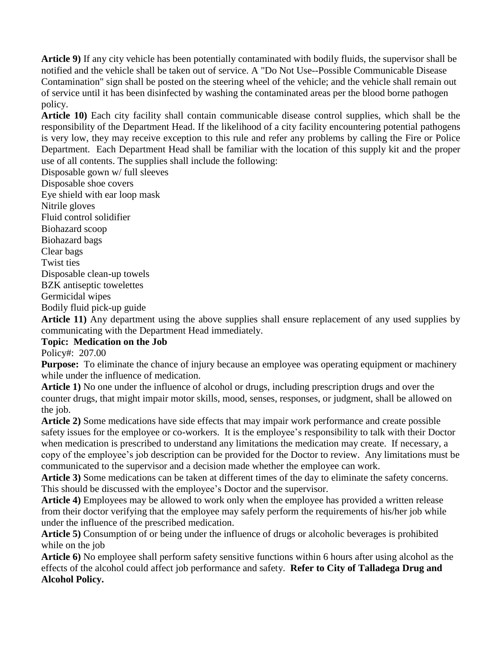**Article 9)** If any city vehicle has been potentially contaminated with bodily fluids, the supervisor shall be notified and the vehicle shall be taken out of service. A "Do Not Use--Possible Communicable Disease Contamination" sign shall be posted on the steering wheel of the vehicle; and the vehicle shall remain out of service until it has been disinfected by washing the contaminated areas per the blood borne pathogen policy.

**Article 10)** Each city facility shall contain communicable disease control supplies, which shall be the responsibility of the Department Head. If the likelihood of a city facility encountering potential pathogens is very low, they may receive exception to this rule and refer any problems by calling the Fire or Police Department. Each Department Head shall be familiar with the location of this supply kit and the proper use of all contents. The supplies shall include the following:

Disposable gown w/ full sleeves

Disposable shoe covers

Eye shield with ear loop mask

Nitrile gloves

Fluid control solidifier

Biohazard scoop

Biohazard bags

Clear bags

Twist ties

Disposable clean-up towels

BZK antiseptic towelettes

Germicidal wipes

Bodily fluid pick-up guide

**Article 11)** Any department using the above supplies shall ensure replacement of any used supplies by communicating with the Department Head immediately.

#### **Topic: Medication on the Job**

Policy#: 207.00

**Purpose:** To eliminate the chance of injury because an employee was operating equipment or machinery while under the influence of medication.

**Article 1)** No one under the influence of alcohol or drugs, including prescription drugs and over the counter drugs, that might impair motor skills, mood, senses, responses, or judgment, shall be allowed on the job.

**Article 2)** Some medications have side effects that may impair work performance and create possible safety issues for the employee or co-workers. It is the employee's responsibility to talk with their Doctor when medication is prescribed to understand any limitations the medication may create. If necessary, a copy of the employee's job description can be provided for the Doctor to review. Any limitations must be communicated to the supervisor and a decision made whether the employee can work.

**Article 3)** Some medications can be taken at different times of the day to eliminate the safety concerns. This should be discussed with the employee's Doctor and the supervisor.

**Article 4)** Employees may be allowed to work only when the employee has provided a written release from their doctor verifying that the employee may safely perform the requirements of his/her job while under the influence of the prescribed medication.

**Article 5)** Consumption of or being under the influence of drugs or alcoholic beverages is prohibited while on the job

**Article 6)** No employee shall perform safety sensitive functions within 6 hours after using alcohol as the effects of the alcohol could affect job performance and safety. **Refer to City of Talladega Drug and Alcohol Policy.**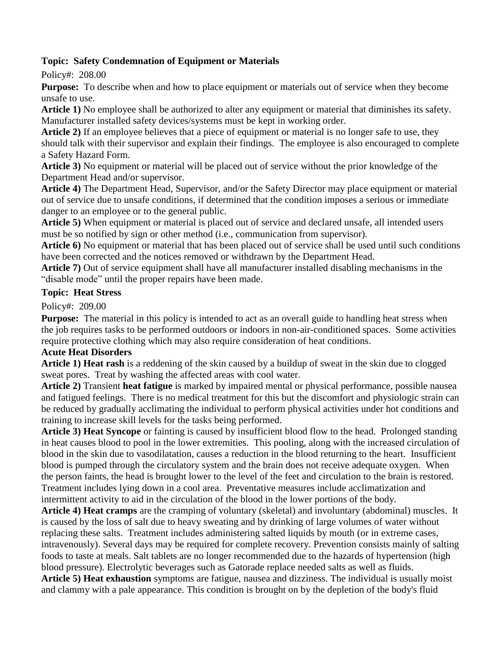#### **Topic: Safety Condemnation of Equipment or Materials**

Policy#: 208.00

**Purpose:** To describe when and how to place equipment or materials out of service when they become unsafe to use.

**Article 1)** No employee shall be authorized to alter any equipment or material that diminishes its safety. Manufacturer installed safety devices/systems must be kept in working order.

**Article 2)** If an employee believes that a piece of equipment or material is no longer safe to use, they should talk with their supervisor and explain their findings. The employee is also encouraged to complete a Safety Hazard Form.

**Article 3)** No equipment or material will be placed out of service without the prior knowledge of the Department Head and/or supervisor.

**Article 4)** The Department Head, Supervisor, and/or the Safety Director may place equipment or material out of service due to unsafe conditions, if determined that the condition imposes a serious or immediate danger to an employee or to the general public.

**Article 5)** When equipment or material is placed out of service and declared unsafe, all intended users must be so notified by sign or other method (i.e., communication from supervisor).

**Article 6)** No equipment or material that has been placed out of service shall be used until such conditions have been corrected and the notices removed or withdrawn by the Department Head.

**Article 7)** Out of service equipment shall have all manufacturer installed disabling mechanisms in the "disable mode" until the proper repairs have been made.

#### **Topic: Heat Stress**

Policy#: 209.00

**Purpose:** The material in this policy is intended to act as an overall guide to handling heat stress when the job requires tasks to be performed outdoors or indoors in non-air-conditioned spaces. Some activities require protective clothing which may also require consideration of heat conditions.

#### **Acute Heat Disorders**

**Article 1) Heat rash** is a reddening of the skin caused by a buildup of sweat in the skin due to clogged sweat pores. Treat by washing the affected areas with cool water.

**Article 2)** Transient **heat fatigue** is marked by impaired mental or physical performance, possible nausea and fatigued feelings. There is no medical treatment for this but the discomfort and physiologic strain can be reduced by gradually acclimating the individual to perform physical activities under hot conditions and training to increase skill levels for the tasks being performed.

**Article 3) Heat Syncope** or fainting is caused by insufficient blood flow to the head. Prolonged standing in heat causes blood to pool in the lower extremities. This pooling, along with the increased circulation of blood in the skin due to vasodilatation, causes a reduction in the blood returning to the heart. Insufficient blood is pumped through the circulatory system and the brain does not receive adequate oxygen. When the person faints, the head is brought lower to the level of the feet and circulation to the brain is restored. Treatment includes lying down in a cool area. Preventative measures include acclimatization and intermittent activity to aid in the circulation of the blood in the lower portions of the body.

**Article 4) Heat cramps** are the cramping of voluntary (skeletal) and involuntary (abdominal) muscles. It is caused by the loss of salt due to heavy sweating and by drinking of large volumes of water without replacing these salts. Treatment includes administering salted liquids by mouth (or in extreme cases, intravenously). Several days may be required for complete recovery. Prevention consists mainly of salting foods to taste at meals. Salt tablets are no longer recommended due to the hazards of hypertension (high blood pressure). Electrolytic beverages such as Gatorade replace needed salts as well as fluids.

**Article 5) Heat exhaustion** symptoms are fatigue, nausea and dizziness. The individual is usually moist and clammy with a pale appearance. This condition is brought on by the depletion of the body's fluid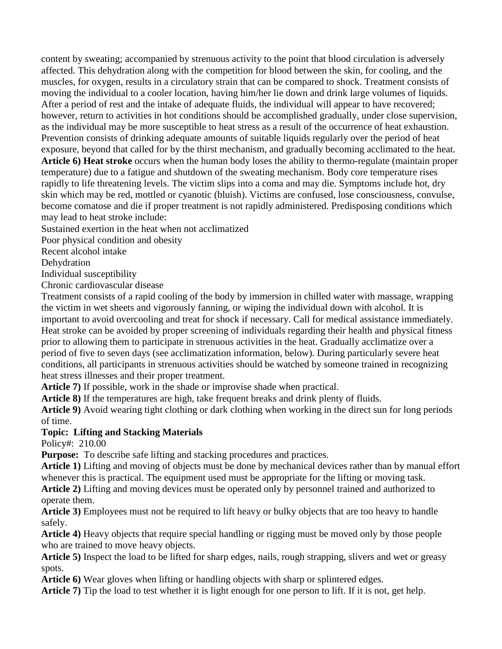content by sweating; accompanied by strenuous activity to the point that blood circulation is adversely affected. This dehydration along with the competition for blood between the skin, for cooling, and the muscles, for oxygen, results in a circulatory strain that can be compared to shock. Treatment consists of moving the individual to a cooler location, having him/her lie down and drink large volumes of liquids. After a period of rest and the intake of adequate fluids, the individual will appear to have recovered; however, return to activities in hot conditions should be accomplished gradually, under close supervision, as the individual may be more susceptible to heat stress as a result of the occurrence of heat exhaustion. Prevention consists of drinking adequate amounts of suitable liquids regularly over the period of heat exposure, beyond that called for by the thirst mechanism, and gradually becoming acclimated to the heat. **Article 6) Heat stroke** occurs when the human body loses the ability to thermo-regulate (maintain proper temperature) due to a fatigue and shutdown of the sweating mechanism. Body core temperature rises rapidly to life threatening levels. The victim slips into a coma and may die. Symptoms include hot, dry skin which may be red, mottled or cyanotic (bluish). Victims are confused, lose consciousness, convulse, become comatose and die if proper treatment is not rapidly administered. Predisposing conditions which may lead to heat stroke include:

Sustained exertion in the heat when not acclimatized

Poor physical condition and obesity

Recent alcohol intake

Dehydration

Individual susceptibility

Chronic cardiovascular disease

Treatment consists of a rapid cooling of the body by immersion in chilled water with massage, wrapping the victim in wet sheets and vigorously fanning, or wiping the individual down with alcohol. It is important to avoid overcooling and treat for shock if necessary. Call for medical assistance immediately. Heat stroke can be avoided by proper screening of individuals regarding their health and physical fitness prior to allowing them to participate in strenuous activities in the heat. Gradually acclimatize over a period of five to seven days (see acclimatization information, below). During particularly severe heat conditions, all participants in strenuous activities should be watched by someone trained in recognizing heat stress illnesses and their proper treatment.

**Article 7)** If possible, work in the shade or improvise shade when practical.

**Article 8)** If the temperatures are high, take frequent breaks and drink plenty of fluids.

**Article 9)** Avoid wearing tight clothing or dark clothing when working in the direct sun for long periods of time.

#### **Topic: Lifting and Stacking Materials**

Policy#: 210.00

**Purpose:** To describe safe lifting and stacking procedures and practices.

**Article 1)** Lifting and moving of objects must be done by mechanical devices rather than by manual effort whenever this is practical. The equipment used must be appropriate for the lifting or moving task.

**Article 2)** Lifting and moving devices must be operated only by personnel trained and authorized to operate them.

**Article 3)** Employees must not be required to lift heavy or bulky objects that are too heavy to handle safely.

**Article 4)** Heavy objects that require special handling or rigging must be moved only by those people who are trained to move heavy objects.

**Article 5)** Inspect the load to be lifted for sharp edges, nails, rough strapping, slivers and wet or greasy spots.

**Article 6)** Wear gloves when lifting or handling objects with sharp or splintered edges.

**Article 7)** Tip the load to test whether it is light enough for one person to lift. If it is not, get help.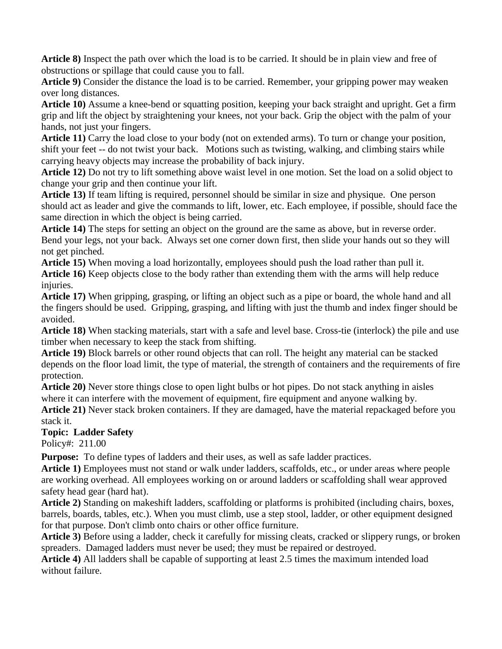**Article 8)** Inspect the path over which the load is to be carried. It should be in plain view and free of obstructions or spillage that could cause you to fall.

**Article 9)** Consider the distance the load is to be carried. Remember, your gripping power may weaken over long distances.

**Article 10)** Assume a knee-bend or squatting position, keeping your back straight and upright. Get a firm grip and lift the object by straightening your knees, not your back. Grip the object with the palm of your hands, not just your fingers.

**Article 11)** Carry the load close to your body (not on extended arms). To turn or change your position, shift your feet -- do not twist your back. Motions such as twisting, walking, and climbing stairs while carrying heavy objects may increase the probability of back injury.

**Article 12)** Do not try to lift something above waist level in one motion. Set the load on a solid object to change your grip and then continue your lift.

**Article 13)** If team lifting is required, personnel should be similar in size and physique. One person should act as leader and give the commands to lift, lower, etc. Each employee, if possible, should face the same direction in which the object is being carried.

**Article 14)** The steps for setting an object on the ground are the same as above, but in reverse order. Bend your legs, not your back. Always set one corner down first, then slide your hands out so they will not get pinched.

**Article 15)** When moving a load horizontally, employees should push the load rather than pull it. **Article 16)** Keep objects close to the body rather than extending them with the arms will help reduce injuries.

**Article 17)** When gripping, grasping, or lifting an object such as a pipe or board, the whole hand and all the fingers should be used. Gripping, grasping, and lifting with just the thumb and index finger should be avoided.

**Article 18)** When stacking materials, start with a safe and level base. Cross-tie (interlock) the pile and use timber when necessary to keep the stack from shifting.

**Article 19)** Block barrels or other round objects that can roll. The height any material can be stacked depends on the floor load limit, the type of material, the strength of containers and the requirements of fire protection.

**Article 20)** Never store things close to open light bulbs or hot pipes. Do not stack anything in aisles where it can interfere with the movement of equipment, fire equipment and anyone walking by.

**Article 21)** Never stack broken containers. If they are damaged, have the material repackaged before you stack it.

**Topic: Ladder Safety**

Policy#: 211.00

**Purpose:** To define types of ladders and their uses, as well as safe ladder practices.

**Article 1)** Employees must not stand or walk under ladders, scaffolds, etc., or under areas where people are working overhead. All employees working on or around ladders or scaffolding shall wear approved safety head gear (hard hat).

**Article 2)** Standing on makeshift ladders, scaffolding or platforms is prohibited (including chairs, boxes, barrels, boards, tables, etc.). When you must climb, use a step stool, ladder, or other equipment designed for that purpose. Don't climb onto chairs or other office furniture.

**Article 3)** Before using a ladder, check it carefully for missing cleats, cracked or slippery rungs, or broken spreaders. Damaged ladders must never be used; they must be repaired or destroyed.

**Article 4)** All ladders shall be capable of supporting at least 2.5 times the maximum intended load without failure.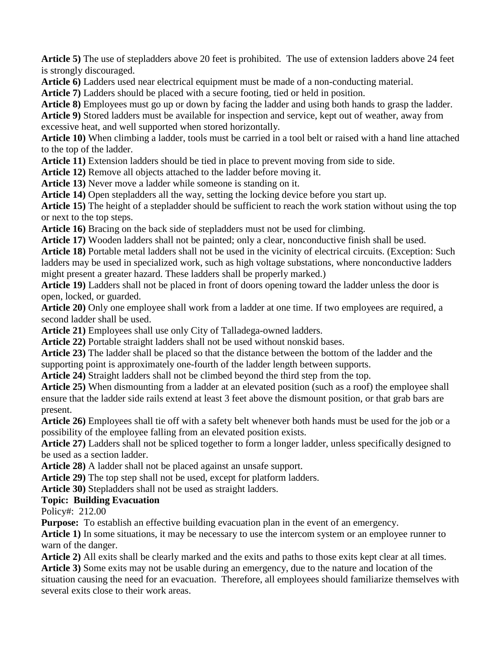**Article 5)** The use of stepladders above 20 feet is prohibited. The use of extension ladders above 24 feet is strongly discouraged.

**Article 6)** Ladders used near electrical equipment must be made of a non-conducting material.

**Article 7)** Ladders should be placed with a secure footing, tied or held in position.

**Article 8)** Employees must go up or down by facing the ladder and using both hands to grasp the ladder.

**Article 9)** Stored ladders must be available for inspection and service, kept out of weather, away from excessive heat, and well supported when stored horizontally.

**Article 10)** When climbing a ladder, tools must be carried in a tool belt or raised with a hand line attached to the top of the ladder.

**Article 11)** Extension ladders should be tied in place to prevent moving from side to side.

**Article 12)** Remove all objects attached to the ladder before moving it.

**Article 13)** Never move a ladder while someone is standing on it.

**Article 14)** Open stepladders all the way, setting the locking device before you start up.

**Article 15)** The height of a stepladder should be sufficient to reach the work station without using the top or next to the top steps.

**Article 16)** Bracing on the back side of stepladders must not be used for climbing.

**Article 17)** Wooden ladders shall not be painted; only a clear, nonconductive finish shall be used.

**Article 18)** Portable metal ladders shall not be used in the vicinity of electrical circuits. (Exception: Such ladders may be used in specialized work, such as high voltage substations, where nonconductive ladders might present a greater hazard. These ladders shall be properly marked.)

**Article 19)** Ladders shall not be placed in front of doors opening toward the ladder unless the door is open, locked, or guarded.

**Article 20)** Only one employee shall work from a ladder at one time. If two employees are required, a second ladder shall be used.

**Article 21)** Employees shall use only City of Talladega-owned ladders.

**Article 22)** Portable straight ladders shall not be used without nonskid bases.

**Article 23)** The ladder shall be placed so that the distance between the bottom of the ladder and the supporting point is approximately one-fourth of the ladder length between supports.

**Article 24)** Straight ladders shall not be climbed beyond the third step from the top.

**Article 25)** When dismounting from a ladder at an elevated position (such as a roof) the employee shall ensure that the ladder side rails extend at least 3 feet above the dismount position, or that grab bars are present.

**Article 26)** Employees shall tie off with a safety belt whenever both hands must be used for the job or a possibility of the employee falling from an elevated position exists.

**Article 27)** Ladders shall not be spliced together to form a longer ladder, unless specifically designed to be used as a section ladder.

**Article 28)** A ladder shall not be placed against an unsafe support.

**Article 29)** The top step shall not be used, except for platform ladders.

**Article 30)** Stepladders shall not be used as straight ladders.

## **Topic: Building Evacuation**

Policy#: 212.00

**Purpose:** To establish an effective building evacuation plan in the event of an emergency.

**Article 1)** In some situations, it may be necessary to use the intercom system or an employee runner to warn of the danger.

**Article 2)** All exits shall be clearly marked and the exits and paths to those exits kept clear at all times. **Article 3)** Some exits may not be usable during an emergency, due to the nature and location of the

situation causing the need for an evacuation. Therefore, all employees should familiarize themselves with several exits close to their work areas.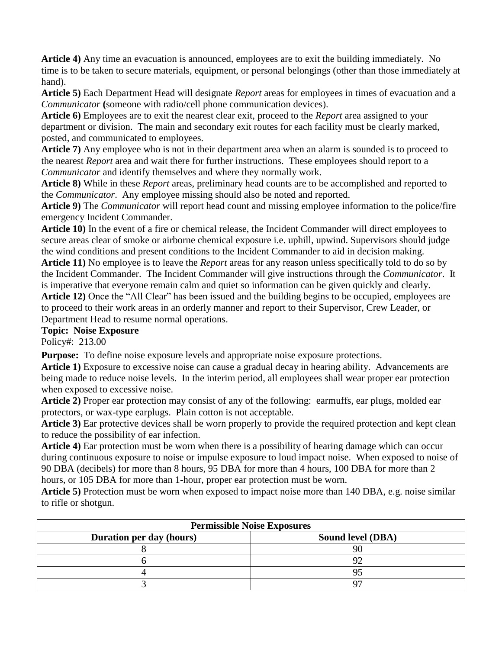**Article 4)** Any time an evacuation is announced, employees are to exit the building immediately. No time is to be taken to secure materials, equipment, or personal belongings (other than those immediately at hand).

**Article 5)** Each Department Head will designate *Report* areas for employees in times of evacuation and a *Communicator* **(**someone with radio/cell phone communication devices).

**Article 6)** Employees are to exit the nearest clear exit, proceed to the *Report* area assigned to your department or division. The main and secondary exit routes for each facility must be clearly marked, posted, and communicated to employees.

**Article 7)** Any employee who is not in their department area when an alarm is sounded is to proceed to the nearest *Report* area and wait there for further instructions. These employees should report to a *Communicator* and identify themselves and where they normally work.

**Article 8)** While in these *Report* areas, preliminary head counts are to be accomplished and reported to the *Communicator*. Any employee missing should also be noted and reported.

**Article 9)** The *Communicator* will report head count and missing employee information to the police/fire emergency Incident Commander.

**Article 10)** In the event of a fire or chemical release, the Incident Commander will direct employees to secure areas clear of smoke or airborne chemical exposure i.e. uphill, upwind. Supervisors should judge the wind conditions and present conditions to the Incident Commander to aid in decision making.

**Article 11)** No employee is to leave the *Report* areas for any reason unless specifically told to do so by the Incident Commander. The Incident Commander will give instructions through the *Communicator*.It is imperative that everyone remain calm and quiet so information can be given quickly and clearly. **Article 12)** Once the "All Clear" has been issued and the building begins to be occupied, employees are

to proceed to their work areas in an orderly manner and report to their Supervisor, Crew Leader, or Department Head to resume normal operations.

#### **Topic: Noise Exposure**

Policy#: 213.00

**Purpose:** To define noise exposure levels and appropriate noise exposure protections.

**Article 1)** Exposure to excessive noise can cause a gradual decay in hearing ability. Advancements are being made to reduce noise levels. In the interim period, all employees shall wear proper ear protection when exposed to excessive noise.

**Article 2)** Proper ear protection may consist of any of the following: earmuffs, ear plugs, molded ear protectors, or wax-type earplugs. Plain cotton is not acceptable.

**Article 3)** Ear protective devices shall be worn properly to provide the required protection and kept clean to reduce the possibility of ear infection.

**Article 4)** Ear protection must be worn when there is a possibility of hearing damage which can occur during continuous exposure to noise or impulse exposure to loud impact noise. When exposed to noise of 90 DBA (decibels) for more than 8 hours, 95 DBA for more than 4 hours, 100 DBA for more than 2 hours, or 105 DBA for more than 1-hour, proper ear protection must be worn.

**Article 5)** Protection must be worn when exposed to impact noise more than 140 DBA, e.g. noise similar to rifle or shotgun.

| <b>Permissible Noise Exposures</b> |                          |
|------------------------------------|--------------------------|
| Duration per day (hours)           | <b>Sound level (DBA)</b> |
|                                    |                          |
|                                    |                          |
|                                    |                          |
|                                    |                          |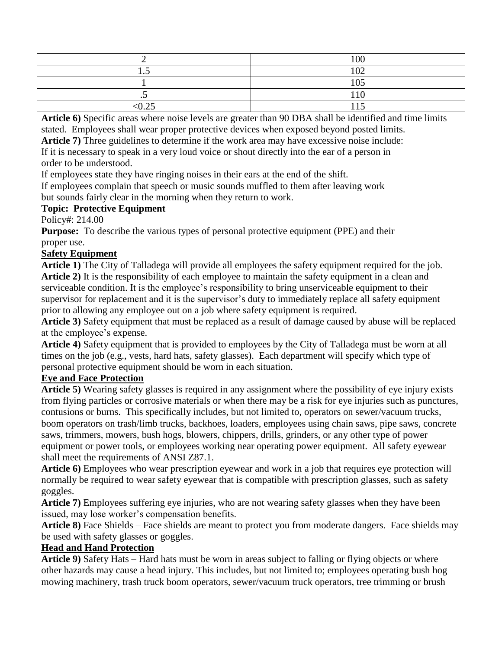|         | 100 |
|---------|-----|
| ن. ۱    | 102 |
|         | 105 |
| $\cdot$ | 110 |
| < 0.25  | 115 |

**Article 6)** Specific areas where noise levels are greater than 90 DBA shall be identified and time limits stated. Employees shall wear proper protective devices when exposed beyond posted limits.

**Article 7)** Three guidelines to determine if the work area may have excessive noise include:

If it is necessary to speak in a very loud voice or shout directly into the ear of a person in order to be understood.

If employees state they have ringing noises in their ears at the end of the shift.

If employees complain that speech or music sounds muffled to them after leaving work

but sounds fairly clear in the morning when they return to work.

#### **Topic: Protective Equipment**

Policy#: 214.00

**Purpose:** To describe the various types of personal protective equipment (PPE) and their proper use.

## **Safety Equipment**

**Article 1)** The City of Talladega will provide all employees the safety equipment required for the job. **Article 2)** It is the responsibility of each employee to maintain the safety equipment in a clean and serviceable condition. It is the employee's responsibility to bring unserviceable equipment to their supervisor for replacement and it is the supervisor's duty to immediately replace all safety equipment prior to allowing any employee out on a job where safety equipment is required.

**Article 3)** Safety equipment that must be replaced as a result of damage caused by abuse will be replaced at the employee's expense.

**Article 4)** Safety equipment that is provided to employees by the City of Talladega must be worn at all times on the job (e.g., vests, hard hats, safety glasses). Each department will specify which type of personal protective equipment should be worn in each situation.

## **Eye and Face Protection**

**Article 5)** Wearing safety glasses is required in any assignment where the possibility of eye injury exists from flying particles or corrosive materials or when there may be a risk for eye injuries such as punctures, contusions or burns. This specifically includes, but not limited to, operators on sewer/vacuum trucks, boom operators on trash/limb trucks, backhoes, loaders, employees using chain saws, pipe saws, concrete saws, trimmers, mowers, bush hogs, blowers, chippers, drills, grinders, or any other type of power equipment or power tools, or employees working near operating power equipment. All safety eyewear shall meet the requirements of ANSI Z87.1.

**Article 6)** Employees who wear prescription eyewear and work in a job that requires eye protection will normally be required to wear safety eyewear that is compatible with prescription glasses, such as safety goggles.

**Article 7)** Employees suffering eye injuries, who are not wearing safety glasses when they have been issued, may lose worker's compensation benefits.

**Article 8)** Face Shields – Face shields are meant to protect you from moderate dangers. Face shields may be used with safety glasses or goggles.

#### **Head and Hand Protection**

**Article 9)** Safety Hats – Hard hats must be worn in areas subject to falling or flying objects or where other hazards may cause a head injury. This includes, but not limited to; employees operating bush hog mowing machinery, trash truck boom operators, sewer/vacuum truck operators, tree trimming or brush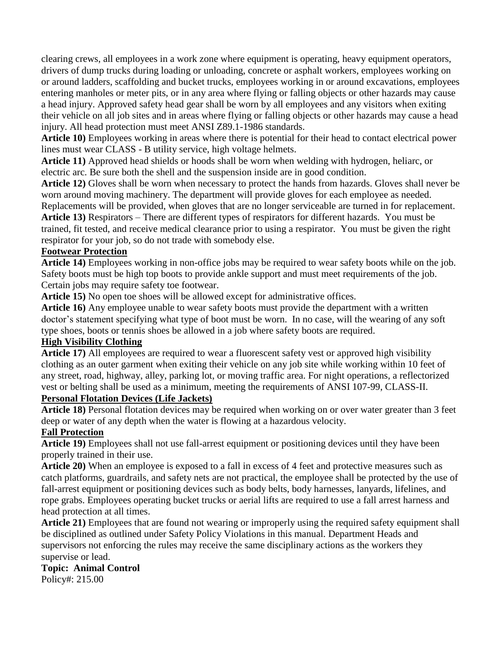clearing crews, all employees in a work zone where equipment is operating, heavy equipment operators, drivers of dump trucks during loading or unloading, concrete or asphalt workers, employees working on or around ladders, scaffolding and bucket trucks, employees working in or around excavations, employees entering manholes or meter pits, or in any area where flying or falling objects or other hazards may cause a head injury. Approved safety head gear shall be worn by all employees and any visitors when exiting their vehicle on all job sites and in areas where flying or falling objects or other hazards may cause a head injury. All head protection must meet ANSI Z89.1-1986 standards.

**Article 10)** Employees working in areas where there is potential for their head to contact electrical power lines must wear CLASS - B utility service, high voltage helmets.

**Article 11)** Approved head shields or hoods shall be worn when welding with hydrogen, heliarc, or electric arc. Be sure both the shell and the suspension inside are in good condition.

**Article 12)** Gloves shall be worn when necessary to protect the hands from hazards. Gloves shall never be worn around moving machinery. The department will provide gloves for each employee as needed.

Replacements will be provided, when gloves that are no longer serviceable are turned in for replacement. **Article 13)** Respirators – There are different types of respirators for different hazards. You must be trained, fit tested, and receive medical clearance prior to using a respirator. You must be given the right respirator for your job, so do not trade with somebody else.

#### **Footwear Protection**

**Article 14)** Employees working in non-office jobs may be required to wear safety boots while on the job. Safety boots must be high top boots to provide ankle support and must meet requirements of the job. Certain jobs may require safety toe footwear.

**Article 15)** No open toe shoes will be allowed except for administrative offices.

**Article 16)** Any employee unable to wear safety boots must provide the department with a written doctor's statement specifying what type of boot must be worn. In no case, will the wearing of any soft type shoes, boots or tennis shoes be allowed in a job where safety boots are required.

#### **High Visibility Clothing**

**Article 17)** All employees are required to wear a fluorescent safety vest or approved high visibility clothing as an outer garment when exiting their vehicle on any job site while working within 10 feet of any street, road, highway, alley, parking lot, or moving traffic area. For night operations, a reflectorized vest or belting shall be used as a minimum, meeting the requirements of ANSI 107-99, CLASS-II.

#### **Personal Flotation Devices (Life Jackets)**

**Article 18)** Personal flotation devices may be required when working on or over water greater than 3 feet deep or water of any depth when the water is flowing at a hazardous velocity.

#### **Fall Protection**

**Article 19)** Employees shall not use fall-arrest equipment or positioning devices until they have been properly trained in their use.

**Article 20)** When an employee is exposed to a fall in excess of 4 feet and protective measures such as catch platforms, guardrails, and safety nets are not practical, the employee shall be protected by the use of fall-arrest equipment or positioning devices such as body belts, body harnesses, lanyards, lifelines, and rope grabs. Employees operating bucket trucks or aerial lifts are required to use a fall arrest harness and head protection at all times.

**Article 21)** Employees that are found not wearing or improperly using the required safety equipment shall be disciplined as outlined under Safety Policy Violations in this manual. Department Heads and supervisors not enforcing the rules may receive the same disciplinary actions as the workers they supervise or lead.

#### **Topic: Animal Control** Policy#: 215.00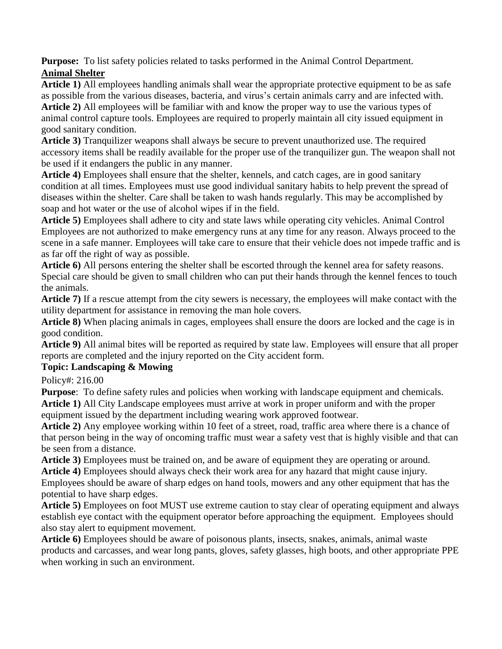**Purpose:** To list safety policies related to tasks performed in the Animal Control Department. **Animal Shelter** 

**Article 1)** All employees handling animals shall wear the appropriate protective equipment to be as safe as possible from the various diseases, bacteria, and virus's certain animals carry and are infected with. **Article 2)** All employees will be familiar with and know the proper way to use the various types of animal control capture tools. Employees are required to properly maintain all city issued equipment in good sanitary condition.

**Article 3)** Tranquilizer weapons shall always be secure to prevent unauthorized use. The required accessory items shall be readily available for the proper use of the tranquilizer gun. The weapon shall not be used if it endangers the public in any manner.

**Article 4)** Employees shall ensure that the shelter, kennels, and catch cages, are in good sanitary condition at all times. Employees must use good individual sanitary habits to help prevent the spread of diseases within the shelter. Care shall be taken to wash hands regularly. This may be accomplished by soap and hot water or the use of alcohol wipes if in the field.

**Article 5)** Employees shall adhere to city and state laws while operating city vehicles. Animal Control Employees are not authorized to make emergency runs at any time for any reason. Always proceed to the scene in a safe manner. Employees will take care to ensure that their vehicle does not impede traffic and is as far off the right of way as possible.

**Article 6)** All persons entering the shelter shall be escorted through the kennel area for safety reasons. Special care should be given to small children who can put their hands through the kennel fences to touch the animals.

**Article 7)** If a rescue attempt from the city sewers is necessary, the employees will make contact with the utility department for assistance in removing the man hole covers.

**Article 8)** When placing animals in cages, employees shall ensure the doors are locked and the cage is in good condition.

**Article 9)** All animal bites will be reported as required by state law. Employees will ensure that all proper reports are completed and the injury reported on the City accident form.

## **Topic: Landscaping & Mowing**

Policy#: 216.00

**Purpose:** To define safety rules and policies when working with landscape equipment and chemicals. **Article 1)** All City Landscape employees must arrive at work in proper uniform and with the proper equipment issued by the department including wearing work approved footwear.

**Article 2)** Any employee working within 10 feet of a street, road, traffic area where there is a chance of that person being in the way of oncoming traffic must wear a safety vest that is highly visible and that can be seen from a distance.

**Article 3)** Employees must be trained on, and be aware of equipment they are operating or around. **Article 4)** Employees should always check their work area for any hazard that might cause injury. Employees should be aware of sharp edges on hand tools, mowers and any other equipment that has the potential to have sharp edges.

**Article 5)** Employees on foot MUST use extreme caution to stay clear of operating equipment and always establish eye contact with the equipment operator before approaching the equipment. Employees should also stay alert to equipment movement.

**Article 6)** Employees should be aware of poisonous plants, insects, snakes, animals, animal waste products and carcasses, and wear long pants, gloves, safety glasses, high boots, and other appropriate PPE when working in such an environment.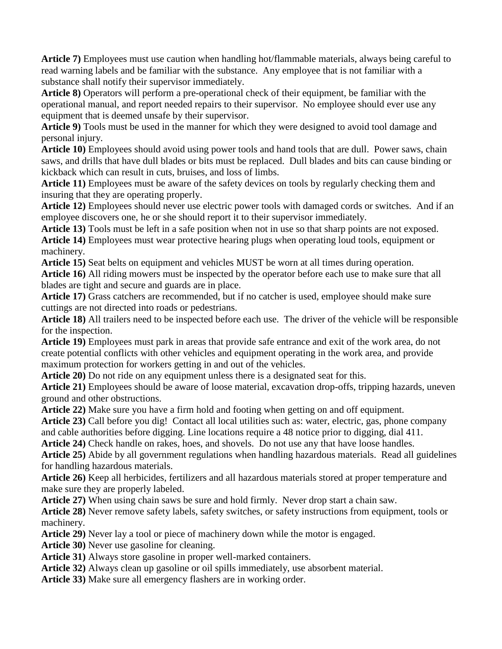**Article 7)** Employees must use caution when handling hot/flammable materials, always being careful to read warning labels and be familiar with the substance. Any employee that is not familiar with a substance shall notify their supervisor immediately.

**Article 8)** Operators will perform a pre-operational check of their equipment, be familiar with the operational manual, and report needed repairs to their supervisor. No employee should ever use any equipment that is deemed unsafe by their supervisor.

**Article 9)** Tools must be used in the manner for which they were designed to avoid tool damage and personal injury.

**Article 10)** Employees should avoid using power tools and hand tools that are dull. Power saws, chain saws, and drills that have dull blades or bits must be replaced. Dull blades and bits can cause binding or kickback which can result in cuts, bruises, and loss of limbs.

**Article 11)** Employees must be aware of the safety devices on tools by regularly checking them and insuring that they are operating properly.

**Article 12)** Employees should never use electric power tools with damaged cords or switches. And if an employee discovers one, he or she should report it to their supervisor immediately.

**Article 13)** Tools must be left in a safe position when not in use so that sharp points are not exposed.

**Article 14)** Employees must wear protective hearing plugs when operating loud tools, equipment or machinery.

**Article 15)** Seat belts on equipment and vehicles MUST be worn at all times during operation. **Article 16)** All riding mowers must be inspected by the operator before each use to make sure that all blades are tight and secure and guards are in place.

**Article 17)** Grass catchers are recommended, but if no catcher is used, employee should make sure cuttings are not directed into roads or pedestrians.

**Article 18)** All trailers need to be inspected before each use. The driver of the vehicle will be responsible for the inspection.

**Article 19)** Employees must park in areas that provide safe entrance and exit of the work area, do not create potential conflicts with other vehicles and equipment operating in the work area, and provide maximum protection for workers getting in and out of the vehicles.

**Article 20)** Do not ride on any equipment unless there is a designated seat for this.

**Article 21)** Employees should be aware of loose material, excavation drop-offs, tripping hazards, uneven ground and other obstructions.

**Article 22)** Make sure you have a firm hold and footing when getting on and off equipment.

**Article 23)** Call before you dig! Contact all local utilities such as: water, electric, gas, phone company and cable authorities before digging. Line locations require a 48 notice prior to digging, dial 411.

**Article 24)** Check handle on rakes, hoes, and shovels. Do not use any that have loose handles.

**Article 25)** Abide by all government regulations when handling hazardous materials. Read all guidelines for handling hazardous materials.

**Article 26)** Keep all herbicides, fertilizers and all hazardous materials stored at proper temperature and make sure they are properly labeled.

**Article 27)** When using chain saws be sure and hold firmly. Never drop start a chain saw.

**Article 28)** Never remove safety labels, safety switches, or safety instructions from equipment, tools or machinery.

**Article 29)** Never lay a tool or piece of machinery down while the motor is engaged.

**Article 30)** Never use gasoline for cleaning.

**Article 31)** Always store gasoline in proper well-marked containers.

**Article 32)** Always clean up gasoline or oil spills immediately, use absorbent material.

**Article 33)** Make sure all emergency flashers are in working order.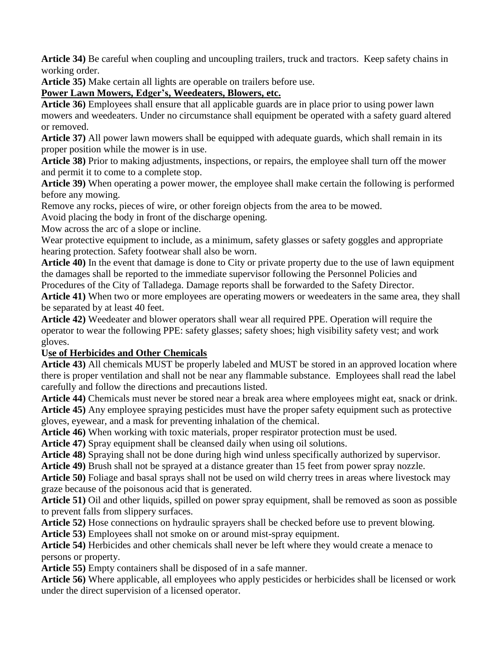**Article 34)** Be careful when coupling and uncoupling trailers, truck and tractors. Keep safety chains in working order.

**Article 35)** Make certain all lights are operable on trailers before use.

# **Power Lawn Mowers, Edger's, Weedeaters, Blowers, etc.**

**Article 36)** Employees shall ensure that all applicable guards are in place prior to using power lawn mowers and weedeaters. Under no circumstance shall equipment be operated with a safety guard altered or removed.

**Article 37)** All power lawn mowers shall be equipped with adequate guards, which shall remain in its proper position while the mower is in use.

**Article 38)** Prior to making adjustments, inspections, or repairs, the employee shall turn off the mower and permit it to come to a complete stop.

**Article 39)** When operating a power mower, the employee shall make certain the following is performed before any mowing.

Remove any rocks, pieces of wire, or other foreign objects from the area to be mowed.

Avoid placing the body in front of the discharge opening.

Mow across the arc of a slope or incline.

Wear protective equipment to include, as a minimum, safety glasses or safety goggles and appropriate hearing protection. Safety footwear shall also be worn.

**Article 40)** In the event that damage is done to City or private property due to the use of lawn equipment the damages shall be reported to the immediate supervisor following the Personnel Policies and Procedures of the City of Talladega. Damage reports shall be forwarded to the Safety Director.

**Article 41)** When two or more employees are operating mowers or weedeaters in the same area, they shall be separated by at least 40 feet.

**Article 42)** Weedeater and blower operators shall wear all required PPE. Operation will require the operator to wear the following PPE: safety glasses; safety shoes; high visibility safety vest; and work gloves.

## **Use of Herbicides and Other Chemicals**

**Article 43)** All chemicals MUST be properly labeled and MUST be stored in an approved location where there is proper ventilation and shall not be near any flammable substance. Employees shall read the label carefully and follow the directions and precautions listed.

**Article 44)** Chemicals must never be stored near a break area where employees might eat, snack or drink. **Article 45)** Any employee spraying pesticides must have the proper safety equipment such as protective gloves, eyewear, and a mask for preventing inhalation of the chemical.

**Article 46)** When working with toxic materials, proper respirator protection must be used.

**Article 47)** Spray equipment shall be cleansed daily when using oil solutions.

**Article 48)** Spraying shall not be done during high wind unless specifically authorized by supervisor.

**Article 49)** Brush shall not be sprayed at a distance greater than 15 feet from power spray nozzle.

**Article 50)** Foliage and basal sprays shall not be used on wild cherry trees in areas where livestock may graze because of the poisonous acid that is generated.

**Article 51)** Oil and other liquids, spilled on power spray equipment, shall be removed as soon as possible to prevent falls from slippery surfaces.

**Article 52)** Hose connections on hydraulic sprayers shall be checked before use to prevent blowing.

**Article 53)** Employees shall not smoke on or around mist-spray equipment.

**Article 54)** Herbicides and other chemicals shall never be left where they would create a menace to persons or property.

**Article 55)** Empty containers shall be disposed of in a safe manner.

**Article 56)** Where applicable, all employees who apply pesticides or herbicides shall be licensed or work under the direct supervision of a licensed operator.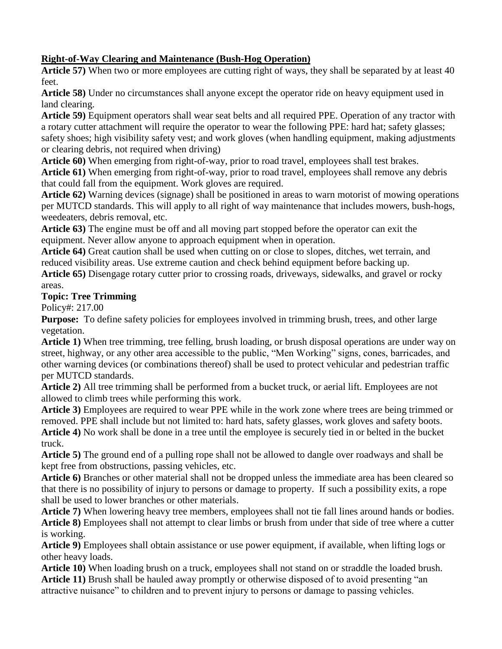#### **Right-of-Way Clearing and Maintenance (Bush-Hog Operation)**

**Article 57)** When two or more employees are cutting right of ways, they shall be separated by at least 40 feet.

**Article 58)** Under no circumstances shall anyone except the operator ride on heavy equipment used in land clearing.

**Article 59)** Equipment operators shall wear seat belts and all required PPE. Operation of any tractor with a rotary cutter attachment will require the operator to wear the following PPE: hard hat; safety glasses; safety shoes; high visibility safety vest; and work gloves (when handling equipment, making adjustments or clearing debris, not required when driving)

**Article 60)** When emerging from right-of-way, prior to road travel, employees shall test brakes. **Article 61)** When emerging from right-of-way, prior to road travel, employees shall remove any debris that could fall from the equipment. Work gloves are required.

**Article 62)** Warning devices (signage) shall be positioned in areas to warn motorist of mowing operations per MUTCD standards. This will apply to all right of way maintenance that includes mowers, bush-hogs, weedeaters, debris removal, etc.

**Article 63)** The engine must be off and all moving part stopped before the operator can exit the equipment. Never allow anyone to approach equipment when in operation.

**Article 64)** Great caution shall be used when cutting on or close to slopes, ditches, wet terrain, and reduced visibility areas. Use extreme caution and check behind equipment before backing up.

**Article 65)** Disengage rotary cutter prior to crossing roads, driveways, sidewalks, and gravel or rocky areas.

## **Topic: Tree Trimming**

Policy#: 217.00

**Purpose:** To define safety policies for employees involved in trimming brush, trees, and other large vegetation.

**Article 1)** When tree trimming, tree felling, brush loading, or brush disposal operations are under way on street, highway, or any other area accessible to the public, "Men Working" signs, cones, barricades, and other warning devices (or combinations thereof) shall be used to protect vehicular and pedestrian traffic per MUTCD standards.

**Article 2)** All tree trimming shall be performed from a bucket truck, or aerial lift. Employees are not allowed to climb trees while performing this work.

**Article 3)** Employees are required to wear PPE while in the work zone where trees are being trimmed or removed. PPE shall include but not limited to: hard hats, safety glasses, work gloves and safety boots. **Article 4)** No work shall be done in a tree until the employee is securely tied in or belted in the bucket truck.

**Article 5)** The ground end of a pulling rope shall not be allowed to dangle over roadways and shall be kept free from obstructions, passing vehicles, etc.

**Article 6)** Branches or other material shall not be dropped unless the immediate area has been cleared so that there is no possibility of injury to persons or damage to property. If such a possibility exits, a rope shall be used to lower branches or other materials.

**Article 7)** When lowering heavy tree members, employees shall not tie fall lines around hands or bodies. **Article 8)** Employees shall not attempt to clear limbs or brush from under that side of tree where a cutter is working.

**Article 9)** Employees shall obtain assistance or use power equipment, if available, when lifting logs or other heavy loads.

**Article 10)** When loading brush on a truck, employees shall not stand on or straddle the loaded brush. **Article 11)** Brush shall be hauled away promptly or otherwise disposed of to avoid presenting "an attractive nuisance" to children and to prevent injury to persons or damage to passing vehicles.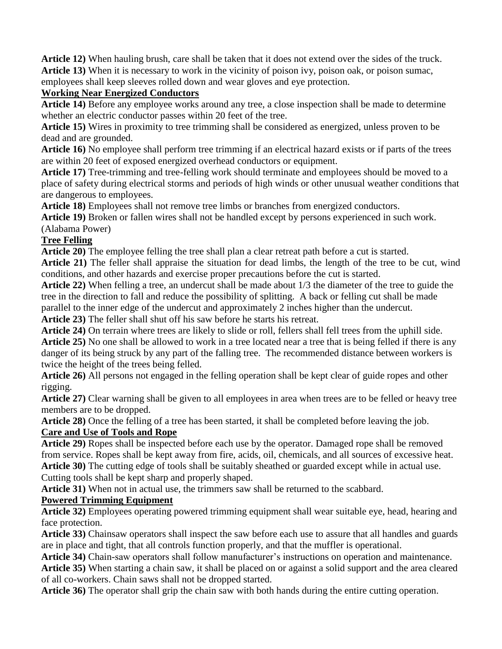**Article 12)** When hauling brush, care shall be taken that it does not extend over the sides of the truck. **Article 13)** When it is necessary to work in the vicinity of poison ivy, poison oak, or poison sumac, employees shall keep sleeves rolled down and wear gloves and eye protection.

#### **Working Near Energized Conductors**

**Article 14)** Before any employee works around any tree, a close inspection shall be made to determine whether an electric conductor passes within 20 feet of the tree.

**Article 15)** Wires in proximity to tree trimming shall be considered as energized, unless proven to be dead and are grounded.

**Article 16)** No employee shall perform tree trimming if an electrical hazard exists or if parts of the trees are within 20 feet of exposed energized overhead conductors or equipment.

**Article 17)** Tree-trimming and tree-felling work should terminate and employees should be moved to a place of safety during electrical storms and periods of high winds or other unusual weather conditions that are dangerous to employees.

**Article 18)** Employees shall not remove tree limbs or branches from energized conductors.

**Article 19)** Broken or fallen wires shall not be handled except by persons experienced in such work.

(Alabama Power)

#### **Tree Felling**

**Article 20)** The employee felling the tree shall plan a clear retreat path before a cut is started.

**Article 21)** The feller shall appraise the situation for dead limbs, the length of the tree to be cut, wind conditions, and other hazards and exercise proper precautions before the cut is started.

**Article 22)** When felling a tree, an undercut shall be made about 1/3 the diameter of the tree to guide the tree in the direction to fall and reduce the possibility of splitting. A back or felling cut shall be made parallel to the inner edge of the undercut and approximately 2 inches higher than the undercut.

**Article 23)** The feller shall shut off his saw before he starts his retreat.

**Article 24)** On terrain where trees are likely to slide or roll, fellers shall fell trees from the uphill side. **Article 25)** No one shall be allowed to work in a tree located near a tree that is being felled if there is any danger of its being struck by any part of the falling tree. The recommended distance between workers is twice the height of the trees being felled.

**Article 26)** All persons not engaged in the felling operation shall be kept clear of guide ropes and other rigging.

**Article 27)** Clear warning shall be given to all employees in area when trees are to be felled or heavy tree members are to be dropped.

**Article 28)** Once the felling of a tree has been started, it shall be completed before leaving the job.

## **Care and Use of Tools and Rope**

**Article 29)** Ropes shall be inspected before each use by the operator. Damaged rope shall be removed from service. Ropes shall be kept away from fire, acids, oil, chemicals, and all sources of excessive heat. **Article 30)** The cutting edge of tools shall be suitably sheathed or guarded except while in actual use. Cutting tools shall be kept sharp and properly shaped.

**Article 31)** When not in actual use, the trimmers saw shall be returned to the scabbard.

## **Powered Trimming Equipment**

**Article 32)** Employees operating powered trimming equipment shall wear suitable eye, head, hearing and face protection.

**Article 33)** Chainsaw operators shall inspect the saw before each use to assure that all handles and guards are in place and tight, that all controls function properly, and that the muffler is operational.

**Article 34)** Chain-saw operators shall follow manufacturer's instructions on operation and maintenance.

**Article 35)** When starting a chain saw, it shall be placed on or against a solid support and the area cleared of all co-workers. Chain saws shall not be dropped started.

**Article 36)** The operator shall grip the chain saw with both hands during the entire cutting operation.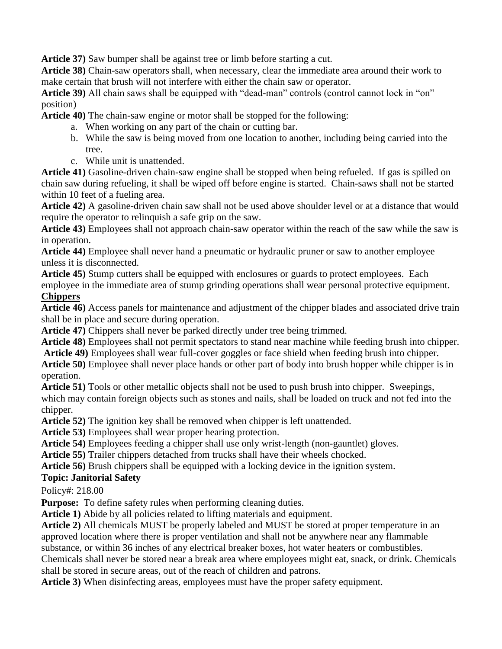**Article 37)** Saw bumper shall be against tree or limb before starting a cut.

**Article 38)** Chain-saw operators shall, when necessary, clear the immediate area around their work to make certain that brush will not interfere with either the chain saw or operator.

**Article 39)** All chain saws shall be equipped with "dead-man" controls (control cannot lock in "on" position)

**Article 40)** The chain-saw engine or motor shall be stopped for the following:

- a. When working on any part of the chain or cutting bar.
- b. While the saw is being moved from one location to another, including being carried into the tree.
- c. While unit is unattended.

**Article 41)** Gasoline-driven chain-saw engine shall be stopped when being refueled. If gas is spilled on chain saw during refueling, it shall be wiped off before engine is started. Chain-saws shall not be started within 10 feet of a fueling area.

**Article 42)** A gasoline-driven chain saw shall not be used above shoulder level or at a distance that would require the operator to relinquish a safe grip on the saw.

**Article 43)** Employees shall not approach chain-saw operator within the reach of the saw while the saw is in operation.

**Article 44)** Employee shall never hand a pneumatic or hydraulic pruner or saw to another employee unless it is disconnected.

**Article 45)** Stump cutters shall be equipped with enclosures or guards to protect employees. Each employee in the immediate area of stump grinding operations shall wear personal protective equipment.

# **Chippers**

**Article 46)** Access panels for maintenance and adjustment of the chipper blades and associated drive train shall be in place and secure during operation.

**Article 47)** Chippers shall never be parked directly under tree being trimmed.

**Article 48)** Employees shall not permit spectators to stand near machine while feeding brush into chipper.

**Article 49)** Employees shall wear full-cover goggles or face shield when feeding brush into chipper. **Article 50)** Employee shall never place hands or other part of body into brush hopper while chipper is in operation.

**Article 51)** Tools or other metallic objects shall not be used to push brush into chipper. Sweepings, which may contain foreign objects such as stones and nails, shall be loaded on truck and not fed into the chipper.

**Article 52)** The ignition key shall be removed when chipper is left unattended.

**Article 53)** Employees shall wear proper hearing protection.

**Article 54)** Employees feeding a chipper shall use only wrist-length (non-gauntlet) gloves.

**Article 55)** Trailer chippers detached from trucks shall have their wheels chocked.

**Article 56)** Brush chippers shall be equipped with a locking device in the ignition system.

## **Topic: Janitorial Safety**

Policy#: 218.00

**Purpose:** To define safety rules when performing cleaning duties.

**Article 1)** Abide by all policies related to lifting materials and equipment.

**Article 2)** All chemicals MUST be properly labeled and MUST be stored at proper temperature in an approved location where there is proper ventilation and shall not be anywhere near any flammable

substance, or within 36 inches of any electrical breaker boxes, hot water heaters or combustibles.

Chemicals shall never be stored near a break area where employees might eat, snack, or drink. Chemicals shall be stored in secure areas, out of the reach of children and patrons.

**Article 3)** When disinfecting areas, employees must have the proper safety equipment.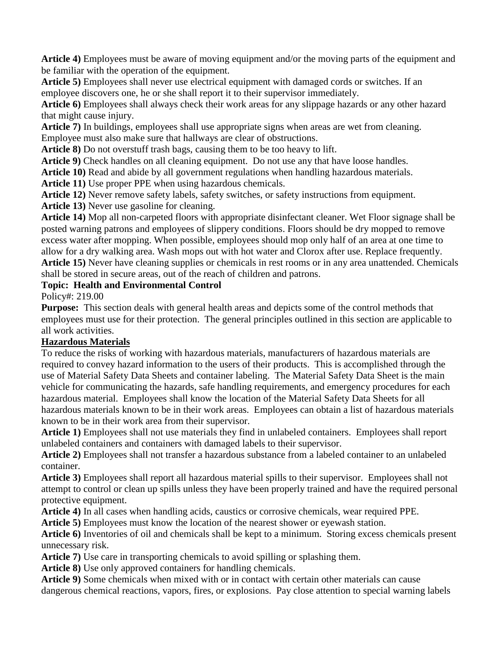**Article 4)** Employees must be aware of moving equipment and/or the moving parts of the equipment and be familiar with the operation of the equipment.

**Article 5)** Employees shall never use electrical equipment with damaged cords or switches. If an employee discovers one, he or she shall report it to their supervisor immediately.

**Article 6)** Employees shall always check their work areas for any slippage hazards or any other hazard that might cause injury.

**Article 7)** In buildings, employees shall use appropriate signs when areas are wet from cleaning. Employee must also make sure that hallways are clear of obstructions.

**Article 8)** Do not overstuff trash bags, causing them to be too heavy to lift.

**Article 9)** Check handles on all cleaning equipment. Do not use any that have loose handles.

**Article 10)** Read and abide by all government regulations when handling hazardous materials.

**Article 11)** Use proper PPE when using hazardous chemicals.

**Article 12)** Never remove safety labels, safety switches, or safety instructions from equipment.

**Article 13)** Never use gasoline for cleaning.

**Article 14)** Mop all non-carpeted floors with appropriate disinfectant cleaner. Wet Floor signage shall be posted warning patrons and employees of slippery conditions. Floors should be dry mopped to remove excess water after mopping. When possible, employees should mop only half of an area at one time to allow for a dry walking area. Wash mops out with hot water and Clorox after use. Replace frequently. **Article 15)** Never have cleaning supplies or chemicals in rest rooms or in any area unattended. Chemicals shall be stored in secure areas, out of the reach of children and patrons.

#### **Topic: Health and Environmental Control**

Policy#: 219.00

**Purpose:** This section deals with general health areas and depicts some of the control methods that employees must use for their protection. The general principles outlined in this section are applicable to all work activities.

## **Hazardous Materials**

To reduce the risks of working with hazardous materials, manufacturers of hazardous materials are required to convey hazard information to the users of their products. This is accomplished through the use of Material Safety Data Sheets and container labeling. The Material Safety Data Sheet is the main vehicle for communicating the hazards, safe handling requirements, and emergency procedures for each hazardous material. Employees shall know the location of the Material Safety Data Sheets for all hazardous materials known to be in their work areas. Employees can obtain a list of hazardous materials known to be in their work area from their supervisor.

**Article 1)** Employees shall not use materials they find in unlabeled containers. Employees shall report unlabeled containers and containers with damaged labels to their supervisor.

**Article 2)** Employees shall not transfer a hazardous substance from a labeled container to an unlabeled container.

**Article 3)** Employees shall report all hazardous material spills to their supervisor. Employees shall not attempt to control or clean up spills unless they have been properly trained and have the required personal protective equipment.

**Article 4)** In all cases when handling acids, caustics or corrosive chemicals, wear required PPE.

**Article 5)** Employees must know the location of the nearest shower or eyewash station.

**Article 6)** Inventories of oil and chemicals shall be kept to a minimum. Storing excess chemicals present unnecessary risk.

**Article 7)** Use care in transporting chemicals to avoid spilling or splashing them.

**Article 8)** Use only approved containers for handling chemicals.

**Article 9)** Some chemicals when mixed with or in contact with certain other materials can cause dangerous chemical reactions, vapors, fires, or explosions. Pay close attention to special warning labels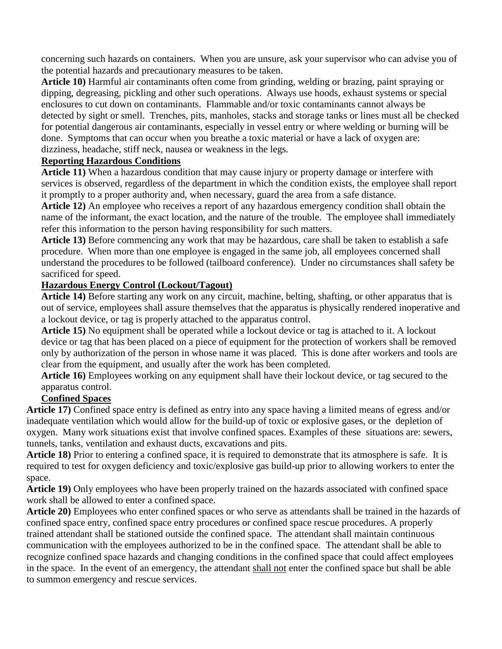concerning such hazards on containers. When you are unsure, ask your supervisor who can advise you of the potential hazards and precautionary measures to be taken.

**Article 10)** Harmful air contaminants often come from grinding, welding or brazing, paint spraying or dipping, degreasing, pickling and other such operations. Always use hoods, exhaust systems or special enclosures to cut down on contaminants. Flammable and/or toxic contaminants cannot always be detected by sight or smell. Trenches, pits, manholes, stacks and storage tanks or lines must all be checked for potential dangerous air contaminants, especially in vessel entry or where welding or burning will be done. Symptoms that can occur when you breathe a toxic material or have a lack of oxygen are: dizziness, headache, stiff neck, nausea or weakness in the legs.

## **Reporting Hazardous Conditions**

**Article 11)** When a hazardous condition that may cause injury or property damage or interfere with services is observed, regardless of the department in which the condition exists, the employee shall report it promptly to a proper authority and, when necessary, guard the area from a safe distance.

**Article 12)** An employee who receives a report of any hazardous emergency condition shall obtain the name of the informant, the exact location, and the nature of the trouble. The employee shall immediately refer this information to the person having responsibility for such matters.

**Article 13)** Before commencing any work that may be hazardous, care shall be taken to establish a safe procedure. When more than one employee is engaged in the same job, all employees concerned shall understand the procedures to be followed (tailboard conference). Under no circumstances shall safety be sacrificed for speed.

#### **Hazardous Energy Control (Lockout/Tagout)**

**Article 14)** Before starting any work on any circuit, machine, belting, shafting, or other apparatus that is out of service, employees shall assure themselves that the apparatus is physically rendered inoperative and a lockout device, or tag is properly attached to the apparatus control.

**Article 15)** No equipment shall be operated while a lockout device or tag is attached to it. A lockout device or tag that has been placed on a piece of equipment for the protection of workers shall be removed only by authorization of the person in whose name it was placed. This is done after workers and tools are clear from the equipment, and usually after the work has been completed.

**Article 16)** Employees working on any equipment shall have their lockout device, or tag secured to the apparatus control.

## **Confined Spaces**

**Article 17)** Confined space entry is defined as entry into any space having a limited means of egress and/or inadequate ventilation which would allow for the build-up of toxic or explosive gases, or the depletion of oxygen. Many work situations exist that involve confined spaces. Examples of these situations are: sewers, tunnels, tanks, ventilation and exhaust ducts, excavations and pits.

**Article 18)** Prior to entering a confined space, it is required to demonstrate that its atmosphere is safe. It is required to test for oxygen deficiency and toxic/explosive gas build-up prior to allowing workers to enter the space.

**Article 19)** Only employees who have been properly trained on the hazards associated with confined space work shall be allowed to enter a confined space.

**Article 20)** Employees who enter confined spaces or who serve as attendants shall be trained in the hazards of confined space entry, confined space entry procedures or confined space rescue procedures. A properly trained attendant shall be stationed outside the confined space. The attendant shall maintain continuous communication with the employees authorized to be in the confined space. The attendant shall be able to recognize confined space hazards and changing conditions in the confined space that could affect employees in the space. In the event of an emergency, the attendant shall not enter the confined space but shall be able to summon emergency and rescue services.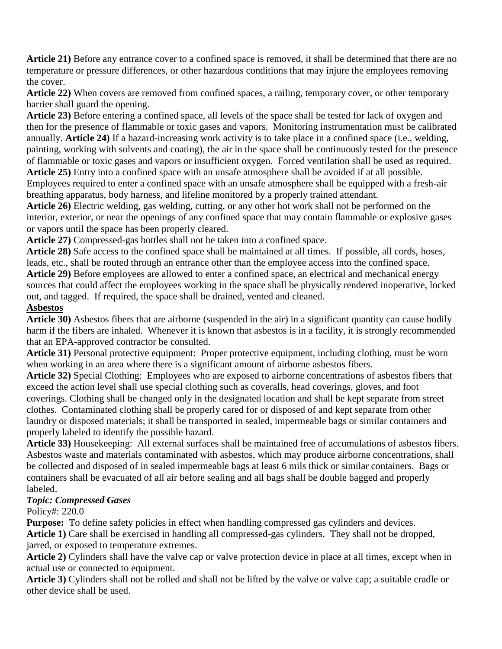**Article 21)** Before any entrance cover to a confined space is removed, it shall be determined that there are no temperature or pressure differences, or other hazardous conditions that may injure the employees removing the cover.

**Article 22)** When covers are removed from confined spaces, a railing, temporary cover, or other temporary barrier shall guard the opening.

**Article 23)** Before entering a confined space, all levels of the space shall be tested for lack of oxygen and then for the presence of flammable or toxic gases and vapors. Monitoring instrumentation must be calibrated annually. **Article 24)** If a hazard-increasing work activity is to take place in a confined space (i.e., welding, painting, working with solvents and coating), the air in the space shall be continuously tested for the presence of flammable or toxic gases and vapors or insufficient oxygen. Forced ventilation shall be used as required. **Article 25)** Entry into a confined space with an unsafe atmosphere shall be avoided if at all possible. Employees required to enter a confined space with an unsafe atmosphere shall be equipped with a fresh-air

breathing apparatus, body harness, and lifeline monitored by a properly trained attendant.

**Article 26)** Electric welding, gas welding, cutting, or any other hot work shall not be performed on the interior, exterior, or near the openings of any confined space that may contain flammable or explosive gases or vapors until the space has been properly cleared.

**Article 27)** Compressed-gas bottles shall not be taken into a confined space.

**Article 28)** Safe access to the confined space shall be maintained at all times. If possible, all cords, hoses, leads, etc., shall be routed through an entrance other than the employee access into the confined space. **Article 29)** Before employees are allowed to enter a confined space, an electrical and mechanical energy sources that could affect the employees working in the space shall be physically rendered inoperative, locked out, and tagged. If required, the space shall be drained, vented and cleaned.

#### **Asbestos**

**Article 30)** Asbestos fibers that are airborne (suspended in the air) in a significant quantity can cause bodily harm if the fibers are inhaled. Whenever it is known that asbestos is in a facility, it is strongly recommended that an EPA-approved contractor be consulted.

**Article 31)** Personal protective equipment: Proper protective equipment, including clothing, must be worn when working in an area where there is a significant amount of airborne asbestos fibers.

**Article 32)** Special Clothing: Employees who are exposed to airborne concentrations of asbestos fibers that exceed the action level shall use special clothing such as coveralls, head coverings, gloves, and foot coverings. Clothing shall be changed only in the designated location and shall be kept separate from street clothes. Contaminated clothing shall be properly cared for or disposed of and kept separate from other laundry or disposed materials; it shall be transported in sealed, impermeable bags or similar containers and properly labeled to identify the possible hazard.

**Article 33)** Housekeeping: All external surfaces shall be maintained free of accumulations of asbestos fibers. Asbestos waste and materials contaminated with asbestos, which may produce airborne concentrations, shall be collected and disposed of in sealed impermeable bags at least 6 mils thick or similar containers. Bags or containers shall be evacuated of all air before sealing and all bags shall be double bagged and properly labeled.

## *Topic: Compressed Gases*

Policy#: 220.0

**Purpose:** To define safety policies in effect when handling compressed gas cylinders and devices.

**Article 1)** Care shall be exercised in handling all compressed-gas cylinders. They shall not be dropped, jarred, or exposed to temperature extremes.

**Article 2)** Cylinders shall have the valve cap or valve protection device in place at all times, except when in actual use or connected to equipment.

**Article 3)** Cylinders shall not be rolled and shall not be lifted by the valve or valve cap; a suitable cradle or other device shall be used.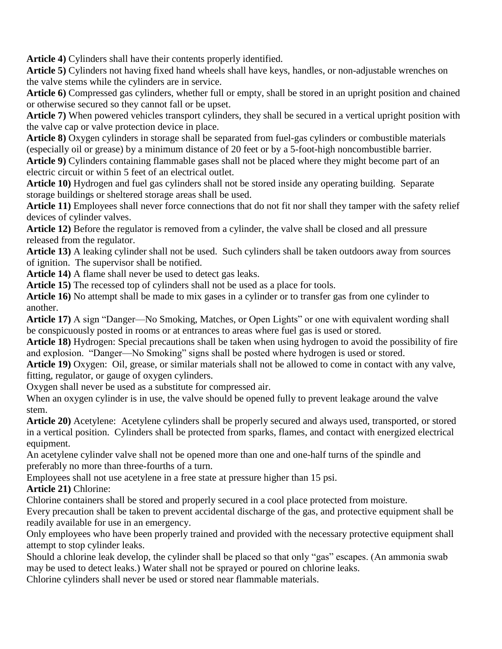**Article 4)** Cylinders shall have their contents properly identified.

**Article 5)** Cylinders not having fixed hand wheels shall have keys, handles, or non-adjustable wrenches on the valve stems while the cylinders are in service.

**Article 6)** Compressed gas cylinders, whether full or empty, shall be stored in an upright position and chained or otherwise secured so they cannot fall or be upset.

**Article 7)** When powered vehicles transport cylinders, they shall be secured in a vertical upright position with the valve cap or valve protection device in place.

**Article 8)** Oxygen cylinders in storage shall be separated from fuel-gas cylinders or combustible materials (especially oil or grease) by a minimum distance of 20 feet or by a 5-foot-high noncombustible barrier. **Article 9)** Cylinders containing flammable gases shall not be placed where they might become part of an

electric circuit or within 5 feet of an electrical outlet.

**Article 10)** Hydrogen and fuel gas cylinders shall not be stored inside any operating building. Separate storage buildings or sheltered storage areas shall be used.

**Article 11)** Employees shall never force connections that do not fit nor shall they tamper with the safety relief devices of cylinder valves.

**Article 12)** Before the regulator is removed from a cylinder, the valve shall be closed and all pressure released from the regulator.

**Article 13)** A leaking cylinder shall not be used. Such cylinders shall be taken outdoors away from sources of ignition. The supervisor shall be notified.

**Article 14)** A flame shall never be used to detect gas leaks.

**Article 15)** The recessed top of cylinders shall not be used as a place for tools.

**Article 16)** No attempt shall be made to mix gases in a cylinder or to transfer gas from one cylinder to another.

**Article 17)** A sign "Danger—No Smoking, Matches, or Open Lights" or one with equivalent wording shall be conspicuously posted in rooms or at entrances to areas where fuel gas is used or stored.

**Article 18)** Hydrogen: Special precautions shall be taken when using hydrogen to avoid the possibility of fire and explosion. "Danger—No Smoking" signs shall be posted where hydrogen is used or stored.

**Article 19)** Oxygen: Oil, grease, or similar materials shall not be allowed to come in contact with any valve, fitting, regulator, or gauge of oxygen cylinders.

Oxygen shall never be used as a substitute for compressed air.

When an oxygen cylinder is in use, the valve should be opened fully to prevent leakage around the valve stem.

**Article 20)** Acetylene: Acetylene cylinders shall be properly secured and always used, transported, or stored in a vertical position. Cylinders shall be protected from sparks, flames, and contact with energized electrical equipment.

An acetylene cylinder valve shall not be opened more than one and one-half turns of the spindle and preferably no more than three-fourths of a turn.

Employees shall not use acetylene in a free state at pressure higher than 15 psi.

## **Article 21)** Chlorine:

Chlorine containers shall be stored and properly secured in a cool place protected from moisture.

Every precaution shall be taken to prevent accidental discharge of the gas, and protective equipment shall be readily available for use in an emergency.

Only employees who have been properly trained and provided with the necessary protective equipment shall attempt to stop cylinder leaks.

Should a chlorine leak develop, the cylinder shall be placed so that only "gas" escapes. (An ammonia swab may be used to detect leaks.) Water shall not be sprayed or poured on chlorine leaks.

Chlorine cylinders shall never be used or stored near flammable materials.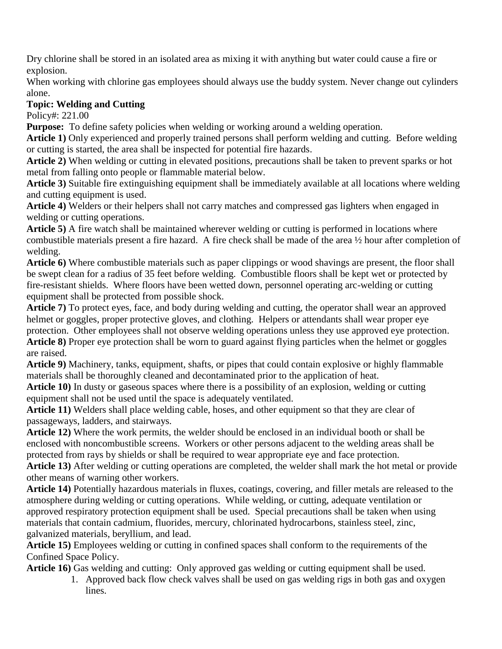Dry chlorine shall be stored in an isolated area as mixing it with anything but water could cause a fire or explosion.

When working with chlorine gas employees should always use the buddy system. Never change out cylinders alone.

# **Topic: Welding and Cutting**

Policy#: 221.00

**Purpose:** To define safety policies when welding or working around a welding operation.

**Article 1)** Only experienced and properly trained persons shall perform welding and cutting. Before welding or cutting is started, the area shall be inspected for potential fire hazards.

**Article 2)** When welding or cutting in elevated positions, precautions shall be taken to prevent sparks or hot metal from falling onto people or flammable material below.

**Article 3)** Suitable fire extinguishing equipment shall be immediately available at all locations where welding and cutting equipment is used.

**Article 4)** Welders or their helpers shall not carry matches and compressed gas lighters when engaged in welding or cutting operations.

**Article 5)** A fire watch shall be maintained wherever welding or cutting is performed in locations where combustible materials present a fire hazard. A fire check shall be made of the area ½ hour after completion of welding.

**Article 6)** Where combustible materials such as paper clippings or wood shavings are present, the floor shall be swept clean for a radius of 35 feet before welding. Combustible floors shall be kept wet or protected by fire-resistant shields. Where floors have been wetted down, personnel operating arc-welding or cutting equipment shall be protected from possible shock.

**Article 7)** To protect eyes, face, and body during welding and cutting, the operator shall wear an approved helmet or goggles, proper protective gloves, and clothing. Helpers or attendants shall wear proper eye protection. Other employees shall not observe welding operations unless they use approved eye protection. **Article 8)** Proper eye protection shall be worn to guard against flying particles when the helmet or goggles are raised.

**Article 9)** Machinery, tanks, equipment, shafts, or pipes that could contain explosive or highly flammable materials shall be thoroughly cleaned and decontaminated prior to the application of heat.

**Article 10)** In dusty or gaseous spaces where there is a possibility of an explosion, welding or cutting equipment shall not be used until the space is adequately ventilated.

**Article 11)** Welders shall place welding cable, hoses, and other equipment so that they are clear of passageways, ladders, and stairways.

**Article 12)** Where the work permits, the welder should be enclosed in an individual booth or shall be enclosed with noncombustible screens. Workers or other persons adjacent to the welding areas shall be protected from rays by shields or shall be required to wear appropriate eye and face protection.

**Article 13)** After welding or cutting operations are completed, the welder shall mark the hot metal or provide other means of warning other workers.

**Article 14)** Potentially hazardous materials in fluxes, coatings, covering, and filler metals are released to the atmosphere during welding or cutting operations. While welding, or cutting, adequate ventilation or approved respiratory protection equipment shall be used. Special precautions shall be taken when using materials that contain cadmium, fluorides, mercury, chlorinated hydrocarbons, stainless steel, zinc, galvanized materials, beryllium, and lead.

**Article 15)** Employees welding or cutting in confined spaces shall conform to the requirements of the Confined Space Policy.

**Article 16)** Gas welding and cutting: Only approved gas welding or cutting equipment shall be used.

1. Approved back flow check valves shall be used on gas welding rigs in both gas and oxygen lines.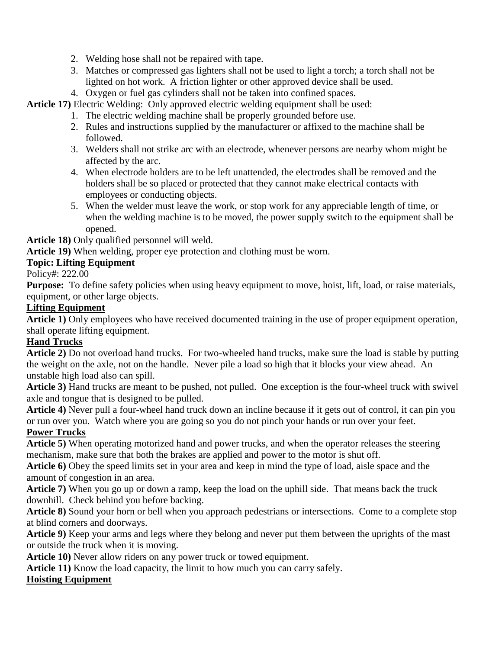- 2. Welding hose shall not be repaired with tape.
- 3. Matches or compressed gas lighters shall not be used to light a torch; a torch shall not be lighted on hot work. A friction lighter or other approved device shall be used.
- 4. Oxygen or fuel gas cylinders shall not be taken into confined spaces.

**Article 17)** Electric Welding: Only approved electric welding equipment shall be used:

- 1. The electric welding machine shall be properly grounded before use.
- 2. Rules and instructions supplied by the manufacturer or affixed to the machine shall be followed.
- 3. Welders shall not strike arc with an electrode, whenever persons are nearby whom might be affected by the arc.
- 4. When electrode holders are to be left unattended, the electrodes shall be removed and the holders shall be so placed or protected that they cannot make electrical contacts with employees or conducting objects.
- 5. When the welder must leave the work, or stop work for any appreciable length of time, or when the welding machine is to be moved, the power supply switch to the equipment shall be opened.

**Article 18)** Only qualified personnel will weld.

**Article 19)** When welding, proper eye protection and clothing must be worn.

#### **Topic: Lifting Equipment**

Policy#: 222.00

**Purpose:** To define safety policies when using heavy equipment to move, hoist, lift, load, or raise materials, equipment, or other large objects.

#### **Lifting Equipment**

**Article 1)** Only employees who have received documented training in the use of proper equipment operation, shall operate lifting equipment.

## **Hand Trucks**

**Article 2)** Do not overload hand trucks. For two-wheeled hand trucks, make sure the load is stable by putting the weight on the axle, not on the handle. Never pile a load so high that it blocks your view ahead. An unstable high load also can spill.

**Article 3)** Hand trucks are meant to be pushed, not pulled. One exception is the four-wheel truck with swivel axle and tongue that is designed to be pulled.

**Article 4)** Never pull a four-wheel hand truck down an incline because if it gets out of control, it can pin you or run over you. Watch where you are going so you do not pinch your hands or run over your feet. **Power Trucks**

**Article 5)** When operating motorized hand and power trucks, and when the operator releases the steering mechanism, make sure that both the brakes are applied and power to the motor is shut off.

**Article 6)** Obey the speed limits set in your area and keep in mind the type of load, aisle space and the amount of congestion in an area.

**Article 7)** When you go up or down a ramp, keep the load on the uphill side. That means back the truck downhill. Check behind you before backing.

**Article 8)** Sound your horn or bell when you approach pedestrians or intersections. Come to a complete stop at blind corners and doorways.

**Article 9)** Keep your arms and legs where they belong and never put them between the uprights of the mast or outside the truck when it is moving.

**Article 10)** Never allow riders on any power truck or towed equipment.

**Article 11)** Know the load capacity, the limit to how much you can carry safely.

#### **Hoisting Equipment**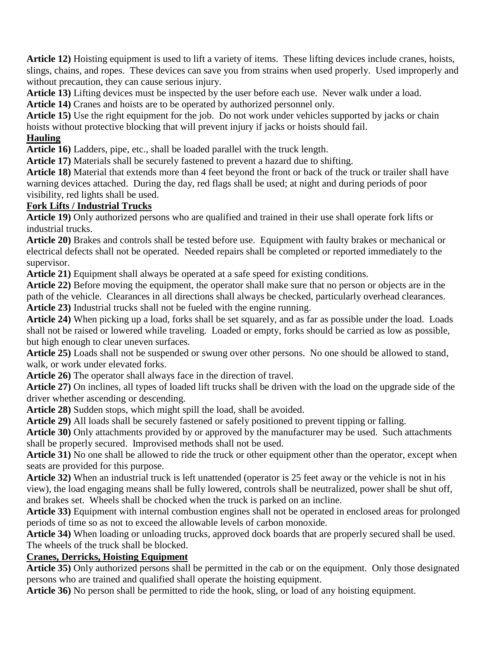**Article 12)** Hoisting equipment is used to lift a variety of items. These lifting devices include cranes, hoists, slings, chains, and ropes. These devices can save you from strains when used properly. Used improperly and without precaution, they can cause serious injury.

**Article 13)** Lifting devices must be inspected by the user before each use. Never walk under a load.

**Article 14)** Cranes and hoists are to be operated by authorized personnel only.

**Article 15)** Use the right equipment for the job. Do not work under vehicles supported by jacks or chain hoists without protective blocking that will prevent injury if jacks or hoists should fail.

## **Hauling**

**Article 16)** Ladders, pipe, etc., shall be loaded parallel with the truck length.

**Article 17)** Materials shall be securely fastened to prevent a hazard due to shifting.

**Article 18)** Material that extends more than 4 feet beyond the front or back of the truck or trailer shall have warning devices attached. During the day, red flags shall be used; at night and during periods of poor visibility, red lights shall be used.

## **Fork Lifts / Industrial Trucks**

**Article 19)** Only authorized persons who are qualified and trained in their use shall operate fork lifts or industrial trucks.

**Article 20)** Brakes and controls shall be tested before use. Equipment with faulty brakes or mechanical or electrical defects shall not be operated. Needed repairs shall be completed or reported immediately to the supervisor.

**Article 21)** Equipment shall always be operated at a safe speed for existing conditions.

**Article 22)** Before moving the equipment, the operator shall make sure that no person or objects are in the path of the vehicle. Clearances in all directions shall always be checked, particularly overhead clearances. **Article 23)** Industrial trucks shall not be fueled with the engine running.

**Article 24)** When picking up a load, forks shall be set squarely, and as far as possible under the load. Loads shall not be raised or lowered while traveling. Loaded or empty, forks should be carried as low as possible, but high enough to clear uneven surfaces.

**Article 25)** Loads shall not be suspended or swung over other persons. No one should be allowed to stand, walk, or work under elevated forks.

**Article 26)** The operator shall always face in the direction of travel.

**Article 27)** On inclines, all types of loaded lift trucks shall be driven with the load on the upgrade side of the driver whether ascending or descending.

**Article 28)** Sudden stops, which might spill the load, shall be avoided.

**Article 29)** All loads shall be securely fastened or safely positioned to prevent tipping or falling.

**Article 30)** Only attachments provided by or approved by the manufacturer may be used. Such attachments shall be properly secured. Improvised methods shall not be used.

**Article 31)** No one shall be allowed to ride the truck or other equipment other than the operator, except when seats are provided for this purpose.

**Article 32)** When an industrial truck is left unattended (operator is 25 feet away or the vehicle is not in his view), the load engaging means shall be fully lowered, controls shall be neutralized, power shall be shut off, and brakes set. Wheels shall be chocked when the truck is parked on an incline.

**Article 33)** Equipment with internal combustion engines shall not be operated in enclosed areas for prolonged periods of time so as not to exceed the allowable levels of carbon monoxide.

**Article 34)** When loading or unloading trucks, approved dock boards that are properly secured shall be used. The wheels of the truck shall be blocked.

## **Cranes, Derricks, Hoisting Equipment**

**Article 35)** Only authorized persons shall be permitted in the cab or on the equipment. Only those designated persons who are trained and qualified shall operate the hoisting equipment.

**Article 36)** No person shall be permitted to ride the hook, sling, or load of any hoisting equipment.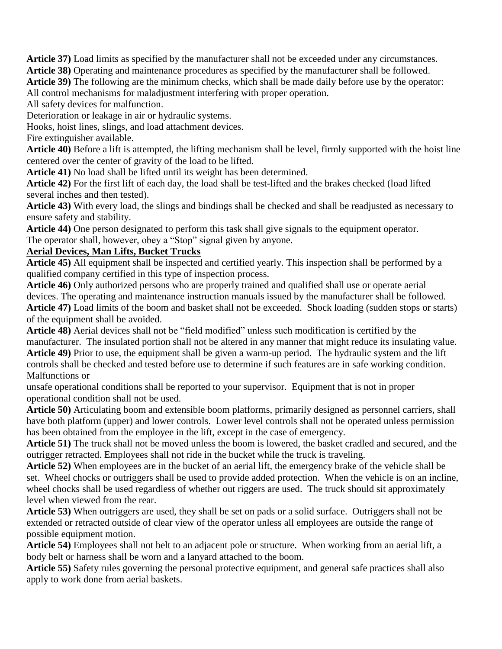**Article 37)** Load limits as specified by the manufacturer shall not be exceeded under any circumstances.

**Article 38)** Operating and maintenance procedures as specified by the manufacturer shall be followed.

**Article 39)** The following are the minimum checks, which shall be made daily before use by the operator:

All control mechanisms for maladjustment interfering with proper operation.

All safety devices for malfunction.

Deterioration or leakage in air or hydraulic systems.

Hooks, hoist lines, slings, and load attachment devices.

Fire extinguisher available.

**Article 40)** Before a lift is attempted, the lifting mechanism shall be level, firmly supported with the hoist line centered over the center of gravity of the load to be lifted.

**Article 41)** No load shall be lifted until its weight has been determined.

**Article 42)** For the first lift of each day, the load shall be test-lifted and the brakes checked (load lifted several inches and then tested).

**Article 43)** With every load, the slings and bindings shall be checked and shall be readjusted as necessary to ensure safety and stability.

**Article 44)** One person designated to perform this task shall give signals to the equipment operator. The operator shall, however, obey a "Stop" signal given by anyone.

#### **Aerial Devices, Man Lifts, Bucket Trucks**

**Article 45)** All equipment shall be inspected and certified yearly. This inspection shall be performed by a qualified company certified in this type of inspection process.

**Article 46)** Only authorized persons who are properly trained and qualified shall use or operate aerial devices. The operating and maintenance instruction manuals issued by the manufacturer shall be followed. **Article 47)** Load limits of the boom and basket shall not be exceeded. Shock loading (sudden stops or starts) of the equipment shall be avoided.

**Article 48)** Aerial devices shall not be "field modified" unless such modification is certified by the manufacturer. The insulated portion shall not be altered in any manner that might reduce its insulating value.

**Article 49)** Prior to use, the equipment shall be given a warm-up period. The hydraulic system and the lift controls shall be checked and tested before use to determine if such features are in safe working condition. Malfunctions or

unsafe operational conditions shall be reported to your supervisor. Equipment that is not in proper operational condition shall not be used.

**Article 50)** Articulating boom and extensible boom platforms, primarily designed as personnel carriers, shall have both platform (upper) and lower controls. Lower level controls shall not be operated unless permission has been obtained from the employee in the lift, except in the case of emergency.

**Article 51)** The truck shall not be moved unless the boom is lowered, the basket cradled and secured, and the outrigger retracted. Employees shall not ride in the bucket while the truck is traveling.

**Article 52)** When employees are in the bucket of an aerial lift, the emergency brake of the vehicle shall be set. Wheel chocks or outriggers shall be used to provide added protection. When the vehicle is on an incline, wheel chocks shall be used regardless of whether out riggers are used. The truck should sit approximately level when viewed from the rear.

**Article 53)** When outriggers are used, they shall be set on pads or a solid surface. Outriggers shall not be extended or retracted outside of clear view of the operator unless all employees are outside the range of possible equipment motion.

**Article 54)** Employees shall not belt to an adjacent pole or structure. When working from an aerial lift, a body belt or harness shall be worn and a lanyard attached to the boom.

**Article 55)** Safety rules governing the personal protective equipment, and general safe practices shall also apply to work done from aerial baskets.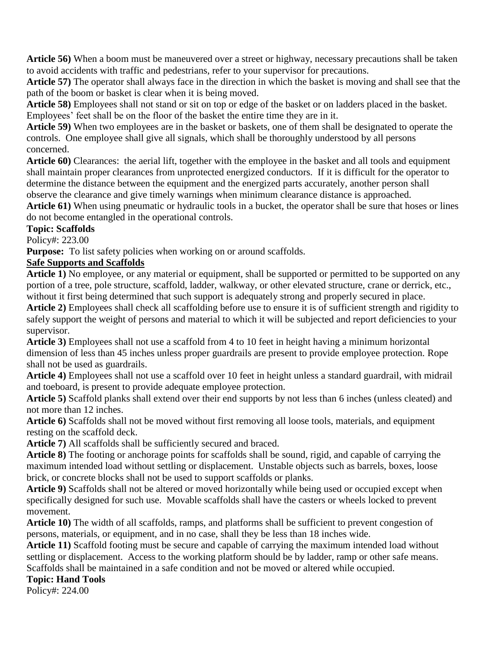**Article 56)** When a boom must be maneuvered over a street or highway, necessary precautions shall be taken to avoid accidents with traffic and pedestrians, refer to your supervisor for precautions.

**Article 57)** The operator shall always face in the direction in which the basket is moving and shall see that the path of the boom or basket is clear when it is being moved.

**Article 58)** Employees shall not stand or sit on top or edge of the basket or on ladders placed in the basket. Employees' feet shall be on the floor of the basket the entire time they are in it.

**Article 59)** When two employees are in the basket or baskets, one of them shall be designated to operate the controls. One employee shall give all signals, which shall be thoroughly understood by all persons concerned.

**Article 60)** Clearances: the aerial lift, together with the employee in the basket and all tools and equipment shall maintain proper clearances from unprotected energized conductors. If it is difficult for the operator to determine the distance between the equipment and the energized parts accurately, another person shall observe the clearance and give timely warnings when minimum clearance distance is approached.

**Article 61)** When using pneumatic or hydraulic tools in a bucket, the operator shall be sure that hoses or lines do not become entangled in the operational controls.

**Topic: Scaffolds**

Policy#: 223.00

**Purpose:** To list safety policies when working on or around scaffolds.

## **Safe Supports and Scaffolds**

**Article 1)** No employee, or any material or equipment, shall be supported or permitted to be supported on any portion of a tree, pole structure, scaffold, ladder, walkway, or other elevated structure, crane or derrick, etc., without it first being determined that such support is adequately strong and properly secured in place.

**Article 2)** Employees shall check all scaffolding before use to ensure it is of sufficient strength and rigidity to safely support the weight of persons and material to which it will be subjected and report deficiencies to your supervisor.

**Article 3)** Employees shall not use a scaffold from 4 to 10 feet in height having a minimum horizontal dimension of less than 45 inches unless proper guardrails are present to provide employee protection. Rope shall not be used as guardrails.

**Article 4)** Employees shall not use a scaffold over 10 feet in height unless a standard guardrail, with midrail and toeboard, is present to provide adequate employee protection.

**Article 5)** Scaffold planks shall extend over their end supports by not less than 6 inches (unless cleated) and not more than 12 inches.

**Article 6)** Scaffolds shall not be moved without first removing all loose tools, materials, and equipment resting on the scaffold deck.

**Article 7)** All scaffolds shall be sufficiently secured and braced.

**Article 8)** The footing or anchorage points for scaffolds shall be sound, rigid, and capable of carrying the maximum intended load without settling or displacement. Unstable objects such as barrels, boxes, loose brick, or concrete blocks shall not be used to support scaffolds or planks.

**Article 9)** Scaffolds shall not be altered or moved horizontally while being used or occupied except when specifically designed for such use. Movable scaffolds shall have the casters or wheels locked to prevent movement.

**Article 10)** The width of all scaffolds, ramps, and platforms shall be sufficient to prevent congestion of persons, materials, or equipment, and in no case, shall they be less than 18 inches wide.

**Article 11)** Scaffold footing must be secure and capable of carrying the maximum intended load without settling or displacement. Access to the working platform should be by ladder, ramp or other safe means. Scaffolds shall be maintained in a safe condition and not be moved or altered while occupied.

# **Topic: Hand Tools**

Policy#: 224.00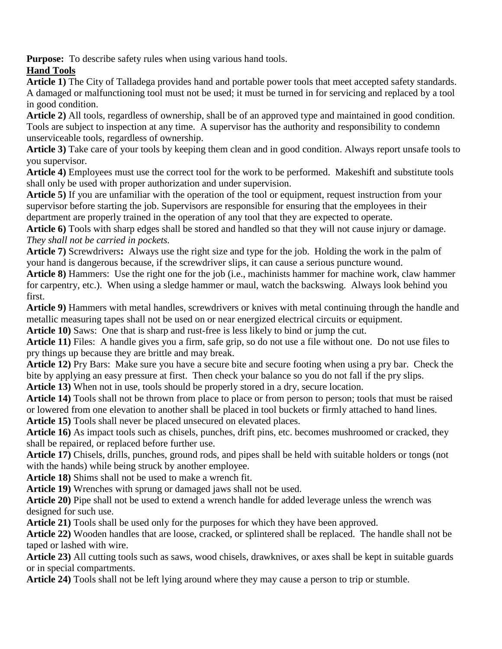**Purpose:** To describe safety rules when using various hand tools.

# **Hand Tools**

**Article 1)** The City of Talladega provides hand and portable power tools that meet accepted safety standards. A damaged or malfunctioning tool must not be used; it must be turned in for servicing and replaced by a tool in good condition.

**Article 2)** All tools, regardless of ownership, shall be of an approved type and maintained in good condition. Tools are subject to inspection at any time. A supervisor has the authority and responsibility to condemn unserviceable tools, regardless of ownership.

**Article 3)** Take care of your tools by keeping them clean and in good condition. Always report unsafe tools to you supervisor.

**Article 4)** Employees must use the correct tool for the work to be performed. Makeshift and substitute tools shall only be used with proper authorization and under supervision.

**Article 5)** If you are unfamiliar with the operation of the tool or equipment, request instruction from your supervisor before starting the job. Supervisors are responsible for ensuring that the employees in their department are properly trained in the operation of any tool that they are expected to operate.

**Article 6)** Tools with sharp edges shall be stored and handled so that they will not cause injury or damage. *They shall not be carried in pockets.*

**Article 7)** Screwdrivers**:** Always use the right size and type for the job. Holding the work in the palm of your hand is dangerous because, if the screwdriver slips, it can cause a serious puncture wound.

**Article 8)** Hammers: Use the right one for the job (i.e., machinists hammer for machine work, claw hammer for carpentry, etc.). When using a sledge hammer or maul, watch the backswing. Always look behind you first.

**Article 9)** Hammers with metal handles, screwdrivers or knives with metal continuing through the handle and metallic measuring tapes shall not be used on or near energized electrical circuits or equipment.

**Article 10)** Saws: One that is sharp and rust-free is less likely to bind or jump the cut.

**Article 11)** Files: A handle gives you a firm, safe grip, so do not use a file without one. Do not use files to pry things up because they are brittle and may break.

**Article 12)** Pry Bars: Make sure you have a secure bite and secure footing when using a pry bar. Check the bite by applying an easy pressure at first. Then check your balance so you do not fall if the pry slips. **Article 13)** When not in use, tools should be properly stored in a dry, secure location.

**Article 14)** Tools shall not be thrown from place to place or from person to person; tools that must be raised or lowered from one elevation to another shall be placed in tool buckets or firmly attached to hand lines.

**Article 15)** Tools shall never be placed unsecured on elevated places.

**Article 16)** As impact tools such as chisels, punches, drift pins, etc. becomes mushroomed or cracked, they shall be repaired, or replaced before further use.

**Article 17)** Chisels, drills, punches, ground rods, and pipes shall be held with suitable holders or tongs (not with the hands) while being struck by another employee.

**Article 18)** Shims shall not be used to make a wrench fit.

**Article 19)** Wrenches with sprung or damaged jaws shall not be used.

**Article 20)** Pipe shall not be used to extend a wrench handle for added leverage unless the wrench was designed for such use.

**Article 21)** Tools shall be used only for the purposes for which they have been approved.

**Article 22)** Wooden handles that are loose, cracked, or splintered shall be replaced. The handle shall not be taped or lashed with wire.

**Article 23)** All cutting tools such as saws, wood chisels, drawknives, or axes shall be kept in suitable guards or in special compartments.

**Article 24)** Tools shall not be left lying around where they may cause a person to trip or stumble.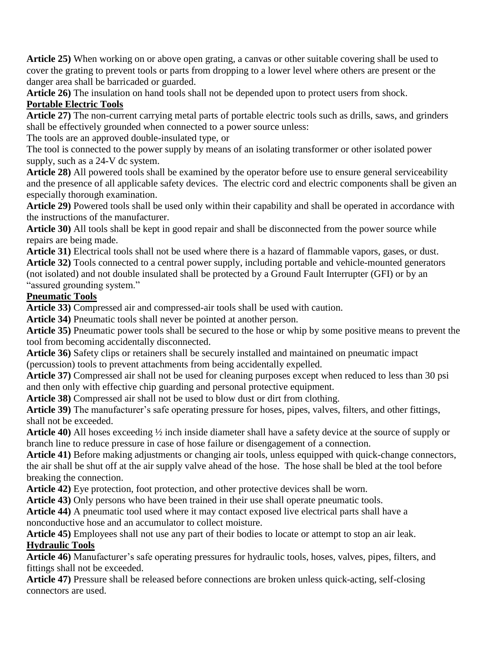**Article 25)** When working on or above open grating, a canvas or other suitable covering shall be used to cover the grating to prevent tools or parts from dropping to a lower level where others are present or the danger area shall be barricaded or guarded.

**Article 26)** The insulation on hand tools shall not be depended upon to protect users from shock. **Portable Electric Tools**

**Article 27)** The non-current carrying metal parts of portable electric tools such as drills, saws, and grinders shall be effectively grounded when connected to a power source unless:

The tools are an approved double-insulated type, or

The tool is connected to the power supply by means of an isolating transformer or other isolated power supply, such as a 24-V dc system.

**Article 28)** All powered tools shall be examined by the operator before use to ensure general serviceability and the presence of all applicable safety devices. The electric cord and electric components shall be given an especially thorough examination.

**Article 29)** Powered tools shall be used only within their capability and shall be operated in accordance with the instructions of the manufacturer.

**Article 30)** All tools shall be kept in good repair and shall be disconnected from the power source while repairs are being made.

**Article 31)** Electrical tools shall not be used where there is a hazard of flammable vapors, gases, or dust. **Article 32)** Tools connected to a central power supply, including portable and vehicle-mounted generators (not isolated) and not double insulated shall be protected by a Ground Fault Interrupter (GFI) or by an "assured grounding system."

#### **Pneumatic Tools**

**Article 33)** Compressed air and compressed-air tools shall be used with caution.

**Article 34)** Pneumatic tools shall never be pointed at another person.

**Article 35)** Pneumatic power tools shall be secured to the hose or whip by some positive means to prevent the tool from becoming accidentally disconnected.

**Article 36)** Safety clips or retainers shall be securely installed and maintained on pneumatic impact (percussion) tools to prevent attachments from being accidentally expelled.

**Article 37)** Compressed air shall not be used for cleaning purposes except when reduced to less than 30 psi and then only with effective chip guarding and personal protective equipment.

**Article 38)** Compressed air shall not be used to blow dust or dirt from clothing.

**Article 39)** The manufacturer's safe operating pressure for hoses, pipes, valves, filters, and other fittings, shall not be exceeded.

**Article 40)** All hoses exceeding ½ inch inside diameter shall have a safety device at the source of supply or branch line to reduce pressure in case of hose failure or disengagement of a connection.

**Article 41)** Before making adjustments or changing air tools, unless equipped with quick-change connectors, the air shall be shut off at the air supply valve ahead of the hose. The hose shall be bled at the tool before breaking the connection.

**Article 42)** Eye protection, foot protection, and other protective devices shall be worn.

**Article 43)** Only persons who have been trained in their use shall operate pneumatic tools.

**Article 44)** A pneumatic tool used where it may contact exposed live electrical parts shall have a nonconductive hose and an accumulator to collect moisture.

**Article 45)** Employees shall not use any part of their bodies to locate or attempt to stop an air leak. **Hydraulic Tools**

**Article 46)** Manufacturer's safe operating pressures for hydraulic tools, hoses, valves, pipes, filters, and fittings shall not be exceeded.

**Article 47)** Pressure shall be released before connections are broken unless quick-acting, self-closing connectors are used.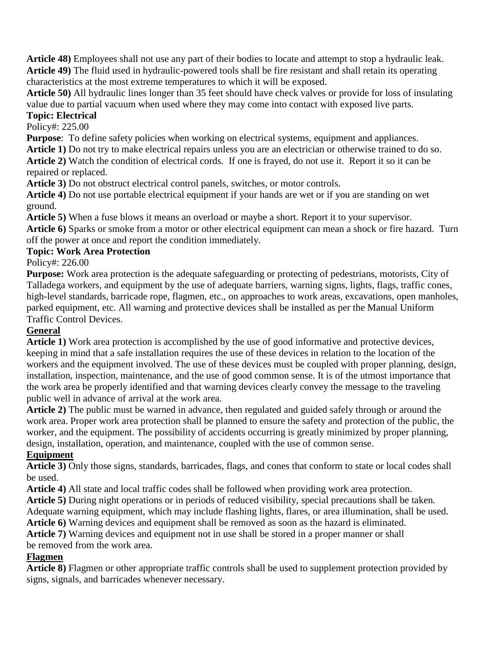**Article 48)** Employees shall not use any part of their bodies to locate and attempt to stop a hydraulic leak. **Article 49)** The fluid used in hydraulic-powered tools shall be fire resistant and shall retain its operating characteristics at the most extreme temperatures to which it will be exposed.

**Article 50)** All hydraulic lines longer than 35 feet should have check valves or provide for loss of insulating value due to partial vacuum when used where they may come into contact with exposed live parts.

# **Topic: Electrical**

Policy#: 225.00

Purpose: To define safety policies when working on electrical systems, equipment and appliances.

**Article 1)** Do not try to make electrical repairs unless you are an electrician or otherwise trained to do so. **Article 2)** Watch the condition of electrical cords. If one is frayed, do not use it. Report it so it can be repaired or replaced.

**Article 3)** Do not obstruct electrical control panels, switches, or motor controls.

**Article 4)** Do not use portable electrical equipment if your hands are wet or if you are standing on wet ground.

**Article 5)** When a fuse blows it means an overload or maybe a short. Report it to your supervisor.

**Article 6)** Sparks or smoke from a motor or other electrical equipment can mean a shock or fire hazard. Turn off the power at once and report the condition immediately.

## **Topic: Work Area Protection**

Policy#: 226.00

**Purpose:** Work area protection is the adequate safeguarding or protecting of pedestrians, motorists, City of Talladega workers, and equipment by the use of adequate barriers, warning signs, lights, flags, traffic cones, high-level standards, barricade rope, flagmen, etc., on approaches to work areas, excavations, open manholes, parked equipment, etc. All warning and protective devices shall be installed as per the Manual Uniform Traffic Control Devices.

## **General**

**Article 1)** Work area protection is accomplished by the use of good informative and protective devices, keeping in mind that a safe installation requires the use of these devices in relation to the location of the workers and the equipment involved. The use of these devices must be coupled with proper planning, design, installation, inspection, maintenance, and the use of good common sense. It is of the utmost importance that the work area be properly identified and that warning devices clearly convey the message to the traveling public well in advance of arrival at the work area.

**Article 2)** The public must be warned in advance, then regulated and guided safely through or around the work area. Proper work area protection shall be planned to ensure the safety and protection of the public, the worker, and the equipment. The possibility of accidents occurring is greatly minimized by proper planning, design, installation, operation, and maintenance, coupled with the use of common sense.

#### **Equipment**

**Article 3)** Only those signs, standards, barricades, flags, and cones that conform to state or local codes shall be used.

**Article 4)** All state and local traffic codes shall be followed when providing work area protection.

**Article 5)** During night operations or in periods of reduced visibility, special precautions shall be taken.

Adequate warning equipment, which may include flashing lights, flares, or area illumination, shall be used.

**Article 6)** Warning devices and equipment shall be removed as soon as the hazard is eliminated.

**Article 7)** Warning devices and equipment not in use shall be stored in a proper manner or shall be removed from the work area.

## **Flagmen**

**Article 8)** Flagmen or other appropriate traffic controls shall be used to supplement protection provided by signs, signals, and barricades whenever necessary.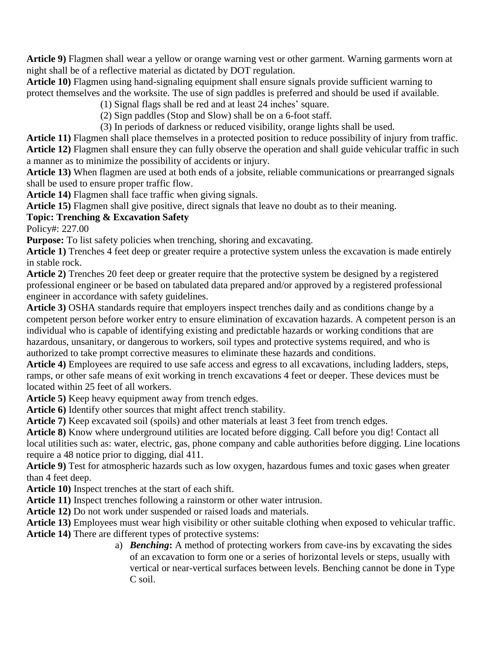**Article 9)** Flagmen shall wear a yellow or orange warning vest or other garment. Warning garments worn at night shall be of a reflective material as dictated by DOT regulation.

**Article 10)** Flagmen using hand-signaling equipment shall ensure signals provide sufficient warning to protect themselves and the worksite. The use of sign paddles is preferred and should be used if available.

(1) Signal flags shall be red and at least 24 inches' square.

(2) Sign paddles (Stop and Slow) shall be on a 6-foot staff.

(3) In periods of darkness or reduced visibility, orange lights shall be used.

**Article 11)** Flagmen shall place themselves in a protected position to reduce possibility of injury from traffic. **Article 12)** Flagmen shall ensure they can fully observe the operation and shall guide vehicular traffic in such a manner as to minimize the possibility of accidents or injury.

**Article 13)** When flagmen are used at both ends of a jobsite, reliable communications or prearranged signals shall be used to ensure proper traffic flow.

**Article 14)** Flagmen shall face traffic when giving signals.

**Article 15)** Flagmen shall give positive, direct signals that leave no doubt as to their meaning.

#### **Topic: Trenching & Excavation Safety**

Policy#: 227.00

**Purpose:** To list safety policies when trenching, shoring and excavating.

**Article 1)** Trenches 4 feet deep or greater require a protective system unless the excavation is made entirely in stable rock.

**Article 2)** Trenches 20 feet deep or greater require that the protective system be designed by a registered professional engineer or be based on tabulated data prepared and/or approved by a registered professional engineer in accordance with safety guidelines.

**Article 3)** OSHA standards require that employers inspect trenches daily and as conditions change by a competent person before worker entry to ensure elimination of excavation hazards. A competent person is an individual who is capable of identifying existing and predictable hazards or working conditions that are hazardous, unsanitary, or dangerous to workers, soil types and protective systems required, and who is authorized to take prompt corrective measures to eliminate these hazards and conditions.

**Article 4)** Employees are required to use safe access and egress to all excavations, including ladders, steps, ramps, or other safe means of exit working in trench excavations 4 feet or deeper. These devices must be located within 25 feet of all workers.

**Article 5)** Keep heavy equipment away from trench edges.

**Article 6)** Identify other sources that might affect trench stability.

Article 7) Keep excavated soil (spoils) and other materials at least 3 feet from trench edges.

**Article 8)** Know where underground utilities are located before digging. Call before you dig! Contact all local utilities such as: water, electric, gas, phone company and cable authorities before digging. Line locations require a 48 notice prior to digging, dial 411.

**Article 9)** Test for atmospheric hazards such as low oxygen, hazardous fumes and toxic gases when greater than 4 feet deep.

**Article 10)** Inspect trenches at the start of each shift.

**Article 11)** Inspect trenches following a rainstorm or other water intrusion.

**Article 12)** Do not work under suspended or raised loads and materials.

**Article 13)** Employees must wear high visibility or other suitable clothing when exposed to vehicular traffic.

**Article 14)** There are different types of protective systems:

a) *Benching***:** A method of protecting workers from cave-ins by excavating the sides of an excavation to form one or a series of horizontal levels or steps, usually with vertical or near-vertical surfaces between levels. Benching cannot be done in Type C soil.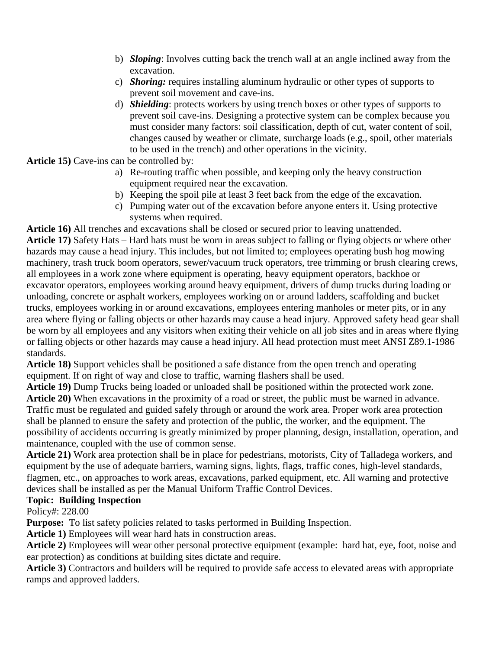- b) *Sloping*: Involves cutting back the trench wall at an angle inclined away from the excavation.
- c) *Shoring:* requires installing aluminum hydraulic or other types of supports to prevent soil movement and cave-ins.
- d) *Shielding*: protects workers by using trench boxes or other types of supports to prevent soil cave-ins. Designing a protective system can be complex because you must consider many factors: soil classification, depth of cut, water content of soil, changes caused by weather or climate, surcharge loads (e.g., spoil, other materials to be used in the trench) and other operations in the vicinity.

**Article 15)** Cave-ins can be controlled by:

- a) Re-routing traffic when possible, and keeping only the heavy construction equipment required near the excavation.
- b) Keeping the spoil pile at least 3 feet back from the edge of the excavation.
- c) Pumping water out of the excavation before anyone enters it. Using protective systems when required.

**Article 16)** All trenches and excavations shall be closed or secured prior to leaving unattended. **Article 17)** Safety Hats – Hard hats must be worn in areas subject to falling or flying objects or where other hazards may cause a head injury. This includes, but not limited to; employees operating bush hog mowing machinery, trash truck boom operators, sewer/vacuum truck operators, tree trimming or brush clearing crews, all employees in a work zone where equipment is operating, heavy equipment operators, backhoe or excavator operators, employees working around heavy equipment, drivers of dump trucks during loading or unloading, concrete or asphalt workers, employees working on or around ladders, scaffolding and bucket trucks, employees working in or around excavations, employees entering manholes or meter pits, or in any area where flying or falling objects or other hazards may cause a head injury. Approved safety head gear shall be worn by all employees and any visitors when exiting their vehicle on all job sites and in areas where flying or falling objects or other hazards may cause a head injury. All head protection must meet ANSI Z89.1-1986 standards.

**Article 18)** Support vehicles shall be positioned a safe distance from the open trench and operating equipment. If on right of way and close to traffic, warning flashers shall be used.

**Article 19)** Dump Trucks being loaded or unloaded shall be positioned within the protected work zone. **Article 20)** When excavations in the proximity of a road or street, the public must be warned in advance. Traffic must be regulated and guided safely through or around the work area. Proper work area protection shall be planned to ensure the safety and protection of the public, the worker, and the equipment. The possibility of accidents occurring is greatly minimized by proper planning, design, installation, operation, and maintenance, coupled with the use of common sense.

**Article 21)** Work area protection shall be in place for pedestrians, motorists, City of Talladega workers, and equipment by the use of adequate barriers, warning signs, lights, flags, traffic cones, high-level standards, flagmen, etc., on approaches to work areas, excavations, parked equipment, etc. All warning and protective devices shall be installed as per the Manual Uniform Traffic Control Devices.

#### **Topic: Building Inspection**

Policy#: 228.00

**Purpose:** To list safety policies related to tasks performed in Building Inspection.

**Article 1)** Employees will wear hard hats in construction areas.

**Article 2)** Employees will wear other personal protective equipment (example: hard hat, eye, foot, noise and ear protection) as conditions at building sites dictate and require.

**Article 3)** Contractors and builders will be required to provide safe access to elevated areas with appropriate ramps and approved ladders.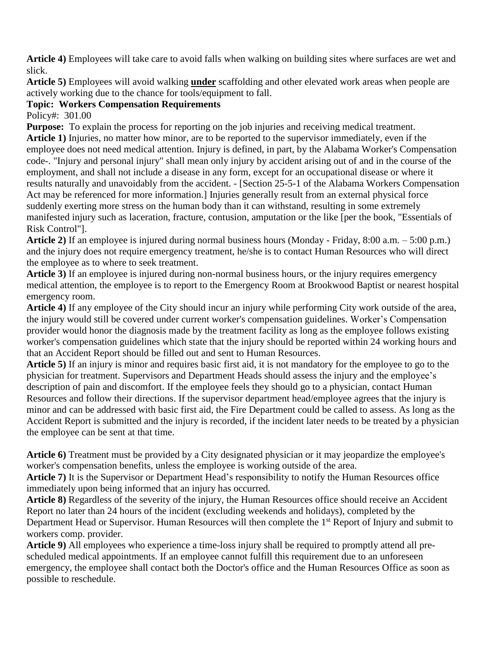**Article 4)** Employees will take care to avoid falls when walking on building sites where surfaces are wet and slick.

**Article 5)** Employees will avoid walking **under** scaffolding and other elevated work areas when people are actively working due to the chance for tools/equipment to fall.

## **Topic: Workers Compensation Requirements**

Policy#: 301.00

**Purpose:** To explain the process for reporting on the job injuries and receiving medical treatment. **Article 1)** Injuries, no matter how minor, are to be reported to the supervisor immediately, even if the employee does not need medical attention. Injury is defined, in part, by the Alabama Worker's Compensation code-. "Injury and personal injury" shall mean only injury by accident arising out of and in the course of the employment, and shall not include a disease in any form, except for an occupational disease or where it results naturally and unavoidably from the accident. - [Section 25-5-1 of the Alabama Workers Compensation Act may be referenced for more information.] Injuries generally result from an external physical force suddenly exerting more stress on the human body than it can withstand, resulting in some extremely manifested injury such as laceration, fracture, contusion, amputation or the like [per the book, "Essentials of Risk Control"].

**Article 2)** If an employee is injured during normal business hours (Monday - Friday, 8:00 a.m. – 5:00 p.m.) and the injury does not require emergency treatment, he/she is to contact Human Resources who will direct the employee as to where to seek treatment.

**Article 3)** If an employee is injured during non-normal business hours, or the injury requires emergency medical attention, the employee is to report to the Emergency Room at Brookwood Baptist or nearest hospital emergency room.

**Article 4)** If any employee of the City should incur an injury while performing City work outside of the area, the injury would still be covered under current worker's compensation guidelines. Worker's Compensation provider would honor the diagnosis made by the treatment facility as long as the employee follows existing worker's compensation guidelines which state that the injury should be reported within 24 working hours and that an Accident Report should be filled out and sent to Human Resources.

**Article 5)** If an injury is minor and requires basic first aid, it is not mandatory for the employee to go to the physician for treatment. Supervisors and Department Heads should assess the injury and the employee's description of pain and discomfort. If the employee feels they should go to a physician, contact Human Resources and follow their directions. If the supervisor department head/employee agrees that the injury is minor and can be addressed with basic first aid, the Fire Department could be called to assess. As long as the Accident Report is submitted and the injury is recorded, if the incident later needs to be treated by a physician the employee can be sent at that time.

**Article 6)** Treatment must be provided by a City designated physician or it may jeopardize the employee's worker's compensation benefits, unless the employee is working outside of the area.

**Article 7)** It is the Supervisor or Department Head's responsibility to notify the Human Resources office immediately upon being informed that an injury has occurred.

**Article 8)** Regardless of the severity of the injury, the Human Resources office should receive an Accident Report no later than 24 hours of the incident (excluding weekends and holidays), completed by the Department Head or Supervisor. Human Resources will then complete the 1<sup>st</sup> Report of Injury and submit to workers comp. provider.

**Article 9)** All employees who experience a time-loss injury shall be required to promptly attend all prescheduled medical appointments. If an employee cannot fulfill this requirement due to an unforeseen emergency, the employee shall contact both the Doctor's office and the Human Resources Office as soon as possible to reschedule.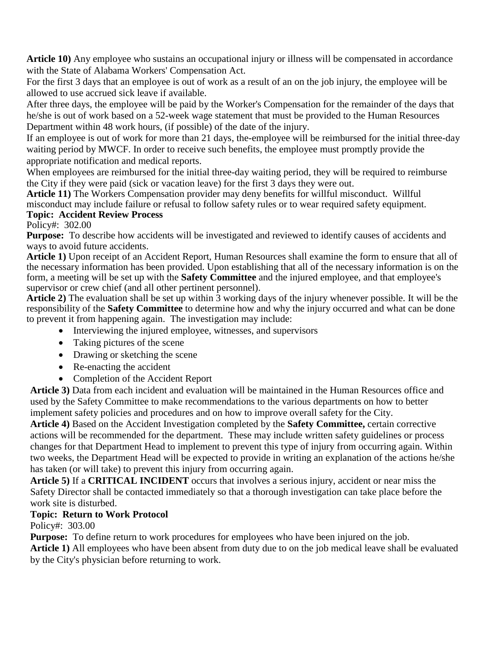**Article 10)** Any employee who sustains an occupational injury or illness will be compensated in accordance with the State of Alabama Workers' Compensation Act.

For the first 3 days that an employee is out of work as a result of an on the job injury, the employee will be allowed to use accrued sick leave if available.

After three days, the employee will be paid by the Worker's Compensation for the remainder of the days that he/she is out of work based on a 52-week wage statement that must be provided to the Human Resources Department within 48 work hours, (if possible) of the date of the injury.

If an employee is out of work for more than 21 days, the-employee will be reimbursed for the initial three-day waiting period by MWCF. In order to receive such benefits, the employee must promptly provide the appropriate notification and medical reports.

When employees are reimbursed for the initial three-day waiting period, they will be required to reimburse the City if they were paid (sick or vacation leave) for the first 3 days they were out.

**Article 11)** The Workers Compensation provider may deny benefits for willful misconduct. Willful misconduct may include failure or refusal to follow safety rules or to wear required safety equipment. **Topic: Accident Review Process**

Policy#: 302.00

**Purpose:** To describe how accidents will be investigated and reviewed to identify causes of accidents and ways to avoid future accidents.

**Article 1)** Upon receipt of an Accident Report, Human Resources shall examine the form to ensure that all of the necessary information has been provided. Upon establishing that all of the necessary information is on the form, a meeting will be set up with the **Safety Committee** and the injured employee, and that employee's supervisor or crew chief (and all other pertinent personnel).

**Article 2)** The evaluation shall be set up within 3 working days of the injury whenever possible. It will be the responsibility of the **Safety Committee** to determine how and why the injury occurred and what can be done to prevent it from happening again. The investigation may include:

- Interviewing the injured employee, witnesses, and supervisors
- Taking pictures of the scene
- Drawing or sketching the scene
- Re-enacting the accident
- Completion of the Accident Report

**Article 3)** Data from each incident and evaluation will be maintained in the Human Resources office and used by the Safety Committee to make recommendations to the various departments on how to better implement safety policies and procedures and on how to improve overall safety for the City.

**Article 4)** Based on the Accident Investigation completed by the **Safety Committee,** certain corrective actions will be recommended for the department. These may include written safety guidelines or process changes for that Department Head to implement to prevent this type of injury from occurring again. Within two weeks, the Department Head will be expected to provide in writing an explanation of the actions he/she has taken (or will take) to prevent this injury from occurring again.

**Article 5)** If a **CRITICAL INCIDENT** occurs that involves a serious injury, accident or near miss the Safety Director shall be contacted immediately so that a thorough investigation can take place before the work site is disturbed.

## **Topic: Return to Work Protocol**

Policy#: 303.00

**Purpose:** To define return to work procedures for employees who have been injured on the job.

**Article 1)** All employees who have been absent from duty due to on the job medical leave shall be evaluated by the City's physician before returning to work.